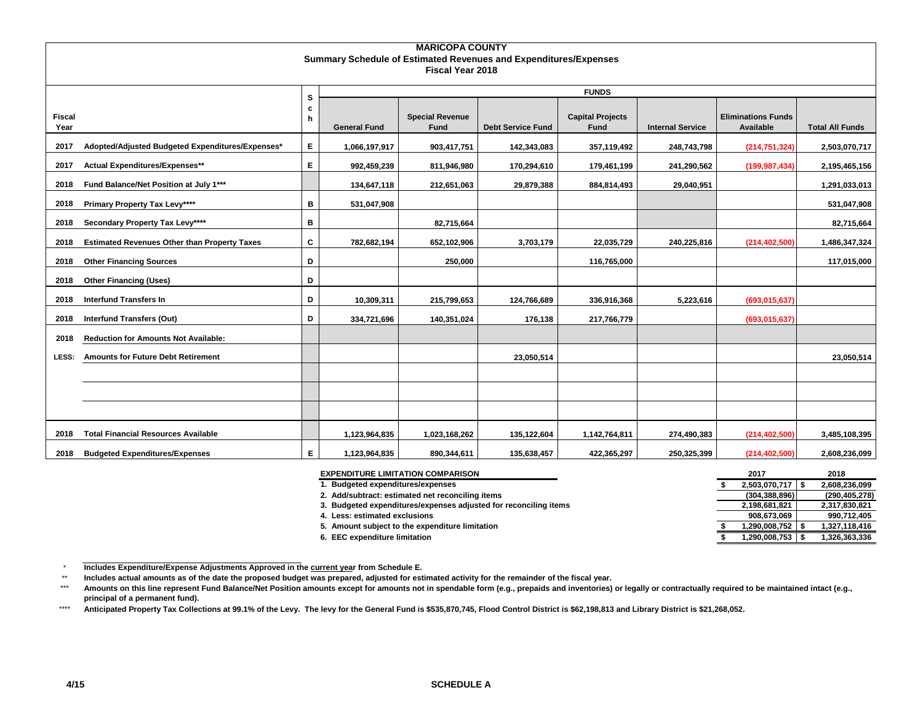|                       | <b>MARICOPA COUNTY</b>                              |    |                     |                                |                                                                         |                                 |                         |                                        |                        |  |  |  |  |  |
|-----------------------|-----------------------------------------------------|----|---------------------|--------------------------------|-------------------------------------------------------------------------|---------------------------------|-------------------------|----------------------------------------|------------------------|--|--|--|--|--|
|                       |                                                     |    |                     |                                | <b>Summary Schedule of Estimated Revenues and Expenditures/Expenses</b> |                                 |                         |                                        |                        |  |  |  |  |  |
|                       |                                                     |    |                     | <b>Fiscal Year 2018</b>        |                                                                         |                                 |                         |                                        |                        |  |  |  |  |  |
|                       |                                                     | s  |                     |                                |                                                                         | <b>FUNDS</b>                    |                         |                                        |                        |  |  |  |  |  |
|                       |                                                     | c  |                     |                                |                                                                         |                                 |                         |                                        |                        |  |  |  |  |  |
| <b>Fiscal</b><br>Year |                                                     | h  | <b>General Fund</b> | <b>Special Revenue</b><br>Fund | <b>Debt Service Fund</b>                                                | <b>Capital Projects</b><br>Fund | <b>Internal Service</b> | <b>Eliminations Funds</b><br>Available | <b>Total All Funds</b> |  |  |  |  |  |
| 2017                  | Adopted/Adjusted Budgeted Expenditures/Expenses*    | E. | 1,066,197,917       | 903,417,751                    | 142,343,083                                                             | 357,119,492                     | 248,743,798             | (214, 751, 324)                        | 2,503,070,717          |  |  |  |  |  |
| 2017                  | Actual Expenditures/Expenses**                      | E. | 992,459,239         | 811,946,980                    | 170,294,610                                                             | 179,461,199                     | 241,290,562             | (199, 987, 434)                        | 2,195,465,156          |  |  |  |  |  |
| 2018                  | Fund Balance/Net Position at July 1***              |    | 134,647,118         | 212,651,063                    | 29,879,388                                                              | 884,814,493                     | 29,040,951              |                                        | 1,291,033,013          |  |  |  |  |  |
| 2018                  | Primary Property Tax Levy****                       | в  | 531,047,908         |                                |                                                                         |                                 |                         |                                        | 531,047,908            |  |  |  |  |  |
| 2018                  | Secondary Property Tax Levy****                     | в  |                     | 82,715,664                     |                                                                         |                                 |                         |                                        | 82,715,664             |  |  |  |  |  |
| 2018                  | <b>Estimated Revenues Other than Property Taxes</b> | C  | 782,682,194         | 652,102,906                    | 3,703,179                                                               | 22,035,729                      | 240,225,816             | (214, 402, 500)                        | 1,486,347,324          |  |  |  |  |  |
| 2018                  | <b>Other Financing Sources</b>                      | D  |                     | 250,000                        |                                                                         | 116,765,000                     |                         |                                        | 117,015,000            |  |  |  |  |  |
| 2018                  | <b>Other Financing (Uses)</b>                       | D  |                     |                                |                                                                         |                                 |                         |                                        |                        |  |  |  |  |  |
| 2018                  | <b>Interfund Transfers In</b>                       | D  | 10,309,311          | 215,799,653                    | 124,766,689                                                             | 336,916,368                     | 5,223,616               | (693,015,637)                          |                        |  |  |  |  |  |
| 2018                  | <b>Interfund Transfers (Out)</b>                    | D  | 334,721,696         | 140,351,024                    | 176,138                                                                 | 217,766,779                     |                         | (693, 015, 637)                        |                        |  |  |  |  |  |
| 2018                  | <b>Reduction for Amounts Not Available:</b>         |    |                     |                                |                                                                         |                                 |                         |                                        |                        |  |  |  |  |  |
| LESS:                 | <b>Amounts for Future Debt Retirement</b>           |    |                     |                                | 23,050,514                                                              |                                 |                         |                                        | 23,050,514             |  |  |  |  |  |
|                       |                                                     |    |                     |                                |                                                                         |                                 |                         |                                        |                        |  |  |  |  |  |
|                       |                                                     |    |                     |                                |                                                                         |                                 |                         |                                        |                        |  |  |  |  |  |
|                       |                                                     |    |                     |                                |                                                                         |                                 |                         |                                        |                        |  |  |  |  |  |
| 2018                  | <b>Total Financial Resources Available</b>          |    | 1,123,964,835       | 1,023,168,262                  | 135,122,604                                                             | 1,142,764,811                   | 274,490,383             | (214, 402, 500)                        | 3,485,108,395          |  |  |  |  |  |
| 2018                  | <b>Budgeted Expenditures/Expenses</b>               | E. | 1,123,964,835       | 890,344,611                    | 135,638,457                                                             | 422,365,297                     | 250,325,399             | (214, 402, 500)                        | 2,608,236,099          |  |  |  |  |  |

| <b>EXPENDITURE LIMITATION COMPARISON</b>                         | 2017                 | 2018            |
|------------------------------------------------------------------|----------------------|-----------------|
| . Budgeted expenditures/expenses                                 | $2,503,070,717$   \$ | 2,608,236,099   |
| 2. Add/subtract: estimated net reconciling items                 | (304, 388, 896)      | (290, 405, 278) |
| 3. Budgeted expenditures/expenses adjusted for reconciling items | 2,198,681,821        | 2,317,830,821   |
| 4. Less: estimated exclusions                                    | 908.673.069          | 990,712,405     |
| 5. Amount subject to the expenditure limitation                  | ,290,008,752         | 1,327,118,416   |
| 6. EEC expenditure limitation                                    | ,290,008,753         | 1,326,363,336   |

 $\star$ **Includes Expenditure/Expense Adjustments Approved in the current year from Schedule E.** 

\*\* **Includes actual amounts as of the date the proposed budget was prepared, adjusted for estimated activity for the remainder of the fiscal year.**

\*\*\* **Amounts on this line represent Fund Balance/Net Position amounts except for amounts not in spendable form (e.g., prepaids and inventories) or legally or contractually required to be maintained intact (e.g., principal of a permanent fund).**

\*\*\*\* Anticipated Property Tax Collections at 99.1% of the Levy. The levy for the General Fund is \$535,870,745, Flood Control District is \$62,198,813 and Library District is \$21,268,052.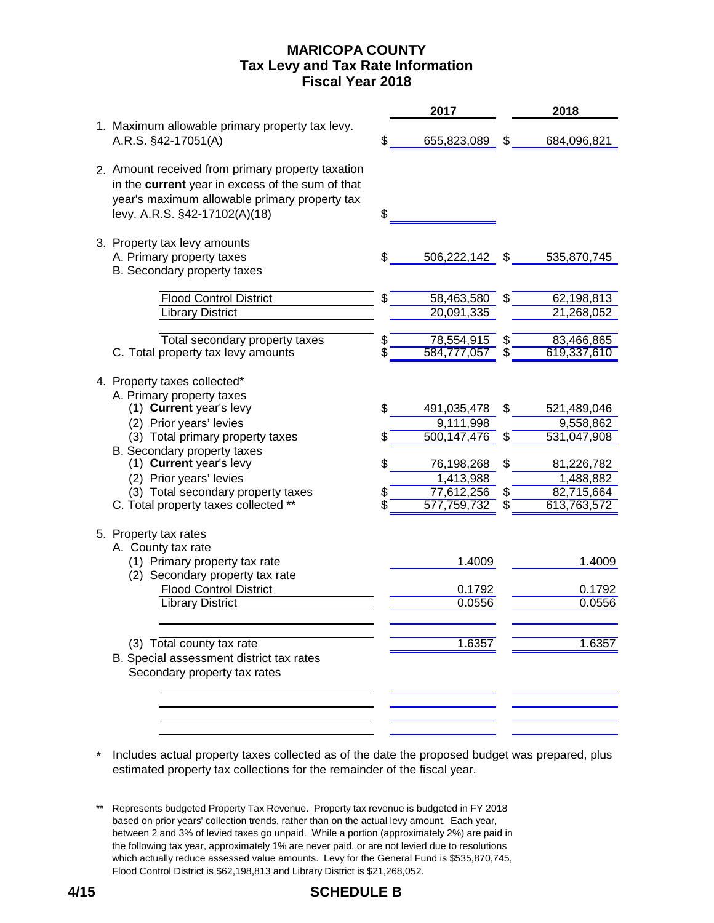## **MARICOPA COUNTY Fiscal Year 2018 Tax Levy and Tax Rate Information**

|                                                                                                                                                                                         |    | 2017                    |    | 2018                    |
|-----------------------------------------------------------------------------------------------------------------------------------------------------------------------------------------|----|-------------------------|----|-------------------------|
| 1. Maximum allowable primary property tax levy.<br>A.R.S. §42-17051(A)                                                                                                                  |    | 655,823,089             | £. | 684,096,821             |
| 2. Amount received from primary property taxation<br>in the current year in excess of the sum of that<br>year's maximum allowable primary property tax<br>levy. A.R.S. §42-17102(A)(18) | \$ |                         |    |                         |
| 3. Property tax levy amounts                                                                                                                                                            |    |                         |    |                         |
| A. Primary property taxes                                                                                                                                                               |    | 506,222,142             | \$ | 535,870,745             |
| B. Secondary property taxes                                                                                                                                                             |    |                         |    |                         |
| <b>Flood Control District</b>                                                                                                                                                           | \$ | 58,463,580              | \$ | 62,198,813              |
| <b>Library District</b>                                                                                                                                                                 |    | 20,091,335              |    | 21,268,052              |
| Total secondary property taxes                                                                                                                                                          | \$ | 78,554,915              | \$ | 83,466,865              |
| C. Total property tax levy amounts                                                                                                                                                      |    | 584,777,057             |    | 619,337,610             |
| 4. Property taxes collected*<br>A. Primary property taxes<br>(1) Current year's levy                                                                                                    | S. | 491,035,478             | S  | 521,489,046             |
| (2) Prior years' levies                                                                                                                                                                 |    | 9,111,998               |    | 9,558,862               |
| (3) Total primary property taxes                                                                                                                                                        |    | 500,147,476             |    | 531,047,908             |
| B. Secondary property taxes<br>(1) Current year's levy                                                                                                                                  |    |                         |    |                         |
| (2) Prior years' levies                                                                                                                                                                 |    | 76,198,268<br>1,413,988 | S  | 81,226,782<br>1,488,882 |
| (3) Total secondary property taxes                                                                                                                                                      |    | 77,612,256              |    | 82,715,664              |
| C. Total property taxes collected **                                                                                                                                                    |    | 577,759,732             |    | 613,763,572             |
| 5. Property tax rates<br>A. County tax rate<br>(1) Primary property tax rate                                                                                                            |    | 1.4009                  |    | 1.4009                  |
| (2) Secondary property tax rate                                                                                                                                                         |    |                         |    |                         |
| <b>Flood Control District</b><br><b>Library District</b>                                                                                                                                |    | 0.1792<br>0.0556        |    | 0.1792<br>0.0556        |
|                                                                                                                                                                                         |    |                         |    |                         |
| (3) Total county tax rate<br>B. Special assessment district tax rates<br>Secondary property tax rates                                                                                   |    | 1.6357                  |    | 1.6357                  |
|                                                                                                                                                                                         |    |                         |    |                         |

\* Includes actual property taxes collected as of the date the proposed budget was prepared, plus estimated property tax collections for the remainder of the fiscal year.

<sup>\*\*</sup> Represents budgeted Property Tax Revenue. Property tax revenue is budgeted in FY 2018 based on prior years' collection trends, rather than on the actual levy amount. Each year, between 2 and 3% of levied taxes go unpaid. While a portion (approximately 2%) are paid in the following tax year, approximately 1% are never paid, or are not levied due to resolutions which actually reduce assessed value amounts. Levy for the General Fund is \$535,870,745, Flood Control District is \$62,198,813 and Library District is \$21,268,052.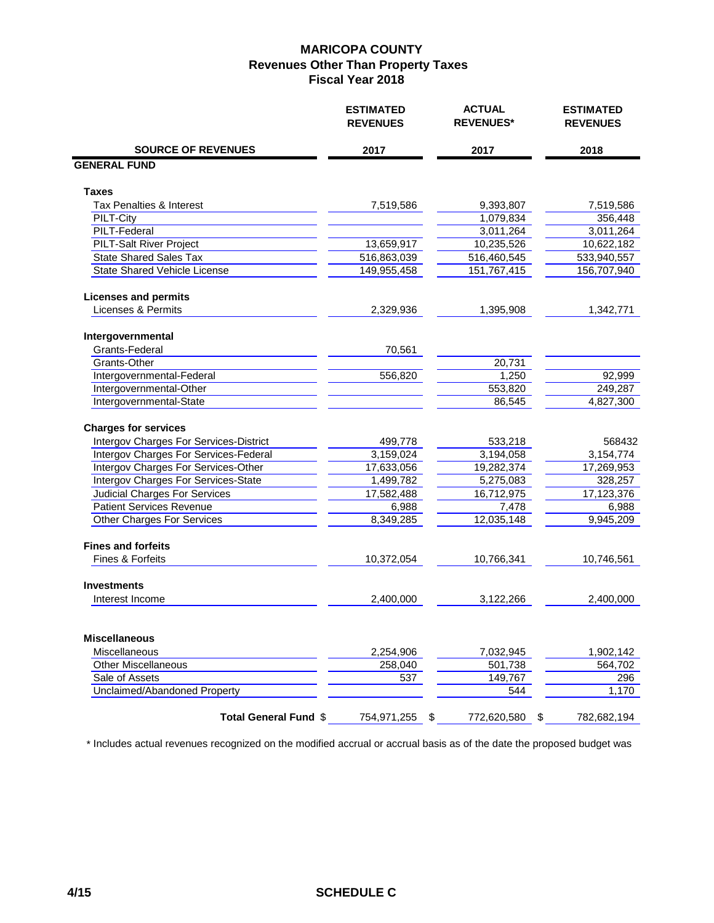|                                                                                                                       | <b>ESTIMATED</b><br><b>REVENUES</b> | <b>ACTUAL</b><br><b>REVENUES*</b> | <b>ESTIMATED</b><br><b>REVENUES</b> |
|-----------------------------------------------------------------------------------------------------------------------|-------------------------------------|-----------------------------------|-------------------------------------|
| <b>SOURCE OF REVENUES</b>                                                                                             | 2017                                | 2017                              | 2018                                |
| <b>GENERAL FUND</b>                                                                                                   |                                     |                                   |                                     |
| Taxes                                                                                                                 |                                     |                                   |                                     |
| Tax Penalties & Interest                                                                                              | 7,519,586                           | 9,393,807                         | 7,519,586                           |
| PILT-City                                                                                                             |                                     | 1,079,834                         | 356,448                             |
| PILT-Federal                                                                                                          |                                     | 3,011,264                         | 3,011,264                           |
| <b>PILT-Salt River Project</b>                                                                                        | 13,659,917                          | 10,235,526                        | 10,622,182                          |
| <b>State Shared Sales Tax</b>                                                                                         | 516,863,039                         | 516,460,545                       | 533,940,557                         |
| <b>State Shared Vehicle License</b>                                                                                   | 149,955,458                         | 151,767,415                       | 156,707,940                         |
| <b>Licenses and permits</b>                                                                                           |                                     |                                   |                                     |
| Licenses & Permits                                                                                                    | 2,329,936                           | 1,395,908                         | 1,342,771                           |
| Intergovernmental                                                                                                     |                                     |                                   |                                     |
| Grants-Federal                                                                                                        | 70,561                              |                                   |                                     |
| Grants-Other                                                                                                          |                                     | 20,731                            |                                     |
| Intergovernmental-Federal                                                                                             | 556,820                             | 1,250                             | 92,999                              |
| Intergovernmental-Other                                                                                               |                                     | 553,820                           | 249,287                             |
| Intergovernmental-State                                                                                               |                                     | 86,545                            | 4,827,300                           |
| <b>Charges for services</b><br>Intergov Charges For Services-District<br><b>Intergov Charges For Services-Federal</b> | 499,778<br>3,159,024                | 533,218<br>3,194,058              | 568432<br>3,154,774                 |
| Intergov Charges For Services-Other                                                                                   | 17,633,056                          | 19,282,374                        | 17,269,953                          |
| Intergov Charges For Services-State                                                                                   | 1,499,782                           | 5,275,083                         | 328,257                             |
| <b>Judicial Charges For Services</b>                                                                                  | 17,582,488                          | 16,712,975                        | 17,123,376                          |
| <b>Patient Services Revenue</b>                                                                                       | 6,988                               | 7,478                             | 6,988                               |
| Other Charges For Services                                                                                            | 8,349,285                           | 12,035,148                        | 9,945,209                           |
| <b>Fines and forfeits</b><br>Fines & Forfeits                                                                         | 10,372,054                          | 10,766,341                        | 10,746,561                          |
|                                                                                                                       |                                     |                                   |                                     |
| <b>Investments</b>                                                                                                    |                                     |                                   |                                     |
| Interest Income                                                                                                       | 2,400,000                           | 3,122,266                         | 2,400,000                           |
| <b>Miscellaneous</b>                                                                                                  |                                     |                                   |                                     |
| Miscellaneous                                                                                                         | 2,254,906                           | 7,032,945                         | 1,902,142                           |
| <b>Other Miscellaneous</b>                                                                                            | 258,040                             | 501,738                           | 564,702                             |
| Sale of Assets                                                                                                        | 537                                 | 149,767                           | 296                                 |
| Unclaimed/Abandoned Property                                                                                          |                                     | 544                               | 1,170                               |
| Total General Fund \$                                                                                                 | 754,971,255<br>\$                   | 772,620,580<br>\$                 | 782,682,194                         |

\* Includes actual revenues recognized on the modified accrual or accrual basis as of the date the proposed budget was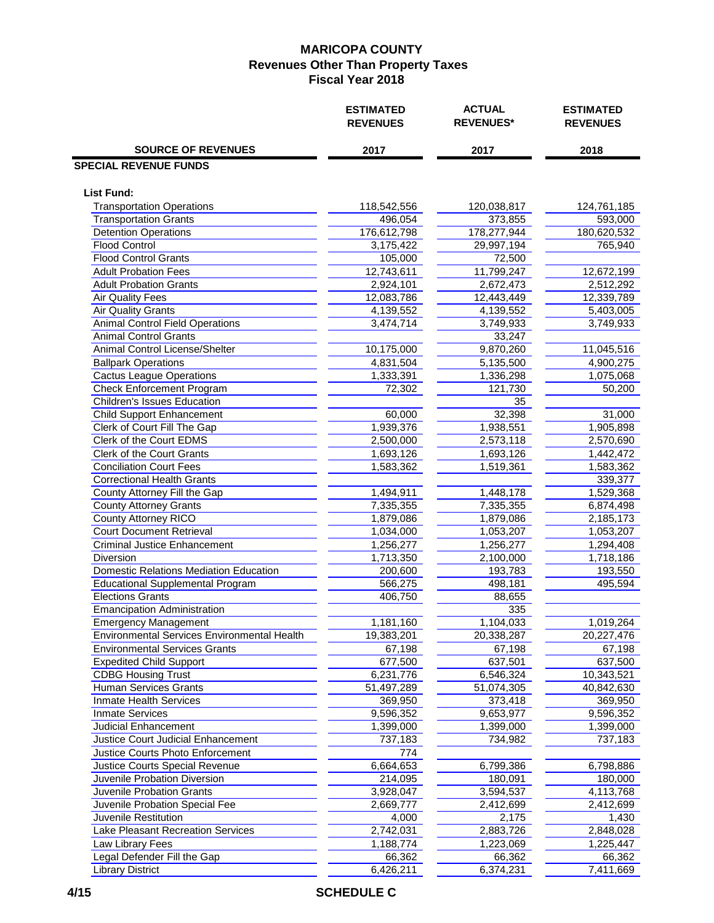|                                             | <b>ESTIMATED</b><br><b>REVENUES</b> | <b>ACTUAL</b><br><b>REVENUES*</b> | <b>ESTIMATED</b><br><b>REVENUES</b> |  |  |
|---------------------------------------------|-------------------------------------|-----------------------------------|-------------------------------------|--|--|
| <b>SOURCE OF REVENUES</b>                   | 2017                                | 2017                              | 2018                                |  |  |
| <b>SPECIAL REVENUE FUNDS</b>                |                                     |                                   |                                     |  |  |
| <b>List Fund:</b>                           |                                     |                                   |                                     |  |  |
| <b>Transportation Operations</b>            | 118,542,556                         | 120,038,817                       | 124,761,185                         |  |  |
| <b>Transportation Grants</b>                | 496,054                             | 373,855                           | 593,000                             |  |  |
| <b>Detention Operations</b>                 | 176,612,798                         | 178,277,944                       | 180,620,532                         |  |  |
| Flood Control                               | 3,175,422                           | 29,997,194                        | 765,940                             |  |  |
| <b>Flood Control Grants</b>                 | 105,000                             | 72,500                            |                                     |  |  |
| <b>Adult Probation Fees</b>                 | 12,743,611                          | 11,799,247                        | 12,672,199                          |  |  |
| <b>Adult Probation Grants</b>               | 2,924,101                           | 2,672,473                         | 2,512,292                           |  |  |
| <b>Air Quality Fees</b>                     | 12,083,786                          | 12,443,449                        | 12,339,789                          |  |  |
| Air Quality Grants                          | 4,139,552                           | 4,139,552                         | 5,403,005                           |  |  |
| <b>Animal Control Field Operations</b>      | 3,474,714                           | 3,749,933                         | 3,749,933                           |  |  |
| <b>Animal Control Grants</b>                |                                     | 33,247                            |                                     |  |  |
| Animal Control License/Shelter              | 10,175,000                          | 9,870,260                         | 11,045,516                          |  |  |
| <b>Ballpark Operations</b>                  | 4,831,504                           | 5,135,500                         | 4,900,275                           |  |  |
| <b>Cactus League Operations</b>             | 1,333,391                           | 1,336,298                         | 1,075,068                           |  |  |
| Check Enforcement Program                   | 72,302                              | 121,730                           | 50,200                              |  |  |
| <b>Children's Issues Education</b>          |                                     | 35                                |                                     |  |  |
| Child Support Enhancement                   | 60,000                              | 32,398                            | 31,000                              |  |  |
| Clerk of Court Fill The Gap                 | 1,939,376                           | 1,938,551                         | 1,905,898                           |  |  |
| Clerk of the Court EDMS                     | 2,500,000                           | 2,573,118                         | 2,570,690                           |  |  |
| Clerk of the Court Grants                   | 1,693,126                           | 1,693,126                         | 1,442,472                           |  |  |
| <b>Conciliation Court Fees</b>              | 1,583,362                           | 1,519,361                         | 1,583,362                           |  |  |
| <b>Correctional Health Grants</b>           |                                     |                                   | 339,377                             |  |  |
| County Attorney Fill the Gap                | 1,494,911                           | 1,448,178                         | 1,529,368                           |  |  |
| <b>County Attorney Grants</b>               | 7,335,355                           | 7,335,355                         | 6,874,498                           |  |  |
| County Attorney RICO                        | 1,879,086                           | 1,879,086                         | 2,185,173                           |  |  |
| <b>Court Document Retrieval</b>             | 1,034,000                           | 1,053,207                         | 1,053,207                           |  |  |
| <b>Criminal Justice Enhancement</b>         | 1,256,277                           | 1,256,277                         | 1,294,408                           |  |  |
| <b>Diversion</b>                            | 1,713,350                           | 2,100,000                         | 1,718,186                           |  |  |
| Domestic Relations Mediation Education      | 200,600                             | 193,783                           | 193,550                             |  |  |
| <b>Educational Supplemental Program</b>     | 566,275                             | 498,181                           | 495,594                             |  |  |
| <b>Elections Grants</b>                     | 406,750                             | 88,655                            |                                     |  |  |
| <b>Emancipation Administration</b>          |                                     | 335                               |                                     |  |  |
| <b>Emergency Management</b>                 | 1,181,160                           | 1,104,033                         | 1,019,264                           |  |  |
| Environmental Services Environmental Health | 19,383,201                          | 20,338,287                        | 20,227,476                          |  |  |
| <b>Environmental Services Grants</b>        | 67,198                              | 67,198                            | 67,198                              |  |  |
| <b>Expedited Child Support</b>              | 677,500                             | 637,501                           | 637,500                             |  |  |
| <b>CDBG Housing Trust</b>                   | 6,231,776                           | 6,546,324                         | 10,343,521                          |  |  |
| Human Services Grants                       | 51,497,289                          | 51,074,305                        | 40,842,630                          |  |  |
| Inmate Health Services                      | 369,950                             | 373,418                           | 369,950                             |  |  |
| <b>Inmate Services</b>                      | 9,596,352                           | 9,653,977                         | 9,596,352                           |  |  |
| Judicial Enhancement                        | 1,399,000                           | 1,399,000                         | 1,399,000                           |  |  |
| Justice Court Judicial Enhancement          | 737,183                             | 734,982                           | 737,183                             |  |  |
| Justice Courts Photo Enforcement            | 774                                 |                                   |                                     |  |  |
| Justice Courts Special Revenue              | 6,664,653                           | 6,799,386                         | 6,798,886                           |  |  |
| Juvenile Probation Diversion                | 214,095                             | 180,091                           | 180,000                             |  |  |
| Juvenile Probation Grants                   | 3,928,047                           | 3,594,537                         | 4,113,768                           |  |  |
| Juvenile Probation Special Fee              | 2,669,777                           | 2,412,699                         | 2,412,699                           |  |  |
| Juvenile Restitution                        | 4,000                               | 2,175                             | 1,430                               |  |  |
| Lake Pleasant Recreation Services           | 2,742,031                           | 2,883,726                         | 2,848,028                           |  |  |
| Law Library Fees                            | 1,188,774                           | 1,223,069                         | 1,225,447                           |  |  |
| Legal Defender Fill the Gap                 | 66,362                              | 66,362                            | 66,362                              |  |  |
| <b>Library District</b>                     | 6,426,211                           | 6,374,231                         | 7,411,669                           |  |  |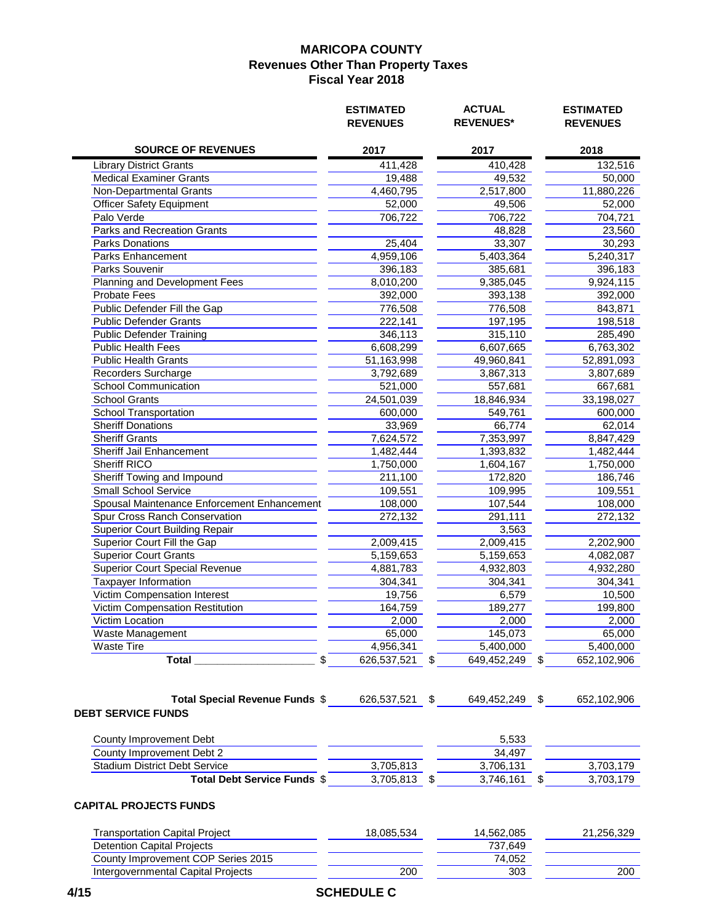|                                                             | <b>ESTIMATED</b><br><b>REVENUES</b> |    | <b>ACTUAL</b><br><b>REVENUES*</b> |    | <b>ESTIMATED</b><br><b>REVENUES</b> |
|-------------------------------------------------------------|-------------------------------------|----|-----------------------------------|----|-------------------------------------|
| <b>SOURCE OF REVENUES</b>                                   | 2017                                |    | 2017                              |    | 2018                                |
| <b>Library District Grants</b>                              | 411,428                             |    | 410,428                           |    | 132,516                             |
| <b>Medical Examiner Grants</b>                              | 19,488                              |    | 49,532                            |    | 50,000                              |
| Non-Departmental Grants                                     | 4,460,795                           |    | 2,517,800                         |    | 11,880,226                          |
| <b>Officer Safety Equipment</b>                             | 52,000                              |    | 49,506                            |    | 52,000                              |
| Palo Verde                                                  | 706,722                             |    | 706,722                           |    | 704,721                             |
| <b>Parks and Recreation Grants</b>                          |                                     |    | 48,828                            |    | 23,560                              |
| <b>Parks Donations</b>                                      | 25,404                              |    | 33,307                            |    | 30,293                              |
| Parks Enhancement                                           | 4,959,106                           |    | 5,403,364                         |    | 5,240,317                           |
| Parks Souvenir                                              | 396,183                             |    | 385,681                           |    | 396,183                             |
| Planning and Development Fees                               | 8,010,200                           |    | 9,385,045                         |    | 9,924,115                           |
| <b>Probate Fees</b>                                         | 392,000                             |    | 393,138                           |    | 392,000                             |
| Public Defender Fill the Gap                                | 776,508                             |    | 776,508                           |    | 843,871                             |
| <b>Public Defender Grants</b>                               | 222,141                             |    | 197,195                           |    | 198,518                             |
| <b>Public Defender Training</b>                             | 346,113                             |    | 315,110                           |    | 285,490                             |
| Public Health Fees                                          | 6,608,299                           |    | 6,607,665                         |    | 6,763,302                           |
| <b>Public Health Grants</b>                                 | 51,163,998                          |    | 49,960,841                        |    | 52,891,093                          |
| Recorders Surcharge                                         | 3,792,689                           |    | 3,867,313                         |    | 3,807,689                           |
| <b>School Communication</b>                                 | 521,000                             |    | 557,681                           |    | 667,681                             |
| <b>School Grants</b>                                        | 24,501,039                          |    | 18,846,934                        |    | 33,198,027                          |
| School Transportation                                       | 600,000                             |    | 549,761                           |    | 600,000                             |
| <b>Sheriff Donations</b>                                    | 33,969                              |    | 66,774                            |    | 62,014                              |
| <b>Sheriff Grants</b>                                       | 7,624,572                           |    | 7,353,997                         |    | 8,847,429                           |
| Sheriff Jail Enhancement                                    | 1,482,444                           |    | 1,393,832                         |    | 1,482,444                           |
| Sheriff RICO                                                |                                     |    |                                   |    |                                     |
|                                                             | 1,750,000                           |    | 1,604,167                         |    | 1,750,000                           |
| Sheriff Towing and Impound                                  | 211,100                             |    | 172,820                           |    | 186,746                             |
| <b>Small School Service</b>                                 | 109,551                             |    | 109,995                           |    | 109,551                             |
| Spousal Maintenance Enforcement Enhancement                 | 108,000                             |    | 107,544                           |    | 108,000                             |
| Spur Cross Ranch Conservation                               | 272,132                             |    | 291,111                           |    | 272,132                             |
| <b>Superior Court Building Repair</b>                       |                                     |    | 3,563                             |    |                                     |
| Superior Court Fill the Gap                                 | 2,009,415                           |    | 2,009,415                         |    | 2,202,900                           |
| <b>Superior Court Grants</b>                                | 5,159,653                           |    | 5,159,653                         |    | 4,082,087                           |
| <b>Superior Court Special Revenue</b>                       | 4,881,783                           |    | 4,932,803                         |    | 4,932,280                           |
| <b>Taxpayer Information</b>                                 | 304,341                             |    | 304,341                           |    | 304,341                             |
| Victim Compensation Interest                                | 19,756                              |    | 6,579                             |    | 10,500                              |
| Victim Compensation Restitution                             | 164,759                             |    | 189,277                           |    | 199,800                             |
| Victim Location                                             | 2,000                               |    | 2,000                             |    | 2,000                               |
| Waste Management                                            | 65,000                              |    | 145,073                           |    | 65,000                              |
| <b>Waste Tire</b>                                           | 4,956,341                           |    | 5,400,000                         |    | 5,400,000                           |
| <b>Total</b><br>\$                                          | 626,537,521                         | \$ | 649,452,249                       | \$ | 652,102,906                         |
| Total Special Revenue Funds \$<br><b>DEBT SERVICE FUNDS</b> | 626,537,521                         | \$ | 649,452,249                       | \$ | 652,102,906                         |
| County Improvement Debt                                     |                                     |    | 5,533                             |    |                                     |
| County Improvement Debt 2                                   |                                     |    | 34,497                            |    |                                     |
| <b>Stadium District Debt Service</b>                        | 3,705,813                           |    | 3,706,131                         |    | 3,703,179                           |
| Total Debt Service Funds \$                                 | 3,705,813                           | S  | 3,746,161                         | S  | 3,703,179                           |
| <b>CAPITAL PROJECTS FUNDS</b>                               |                                     |    |                                   |    |                                     |
| <b>Transportation Capital Project</b>                       | 18,085,534                          |    | 14,562,085                        |    | 21,256,329                          |
| <b>Detention Capital Projects</b>                           |                                     |    | 737,649                           |    |                                     |
| County Improvement COP Series 2015                          |                                     |    | 74,052                            |    |                                     |
| <b>Intergovernmental Capital Projects</b>                   | 200                                 |    | 303                               |    | 200                                 |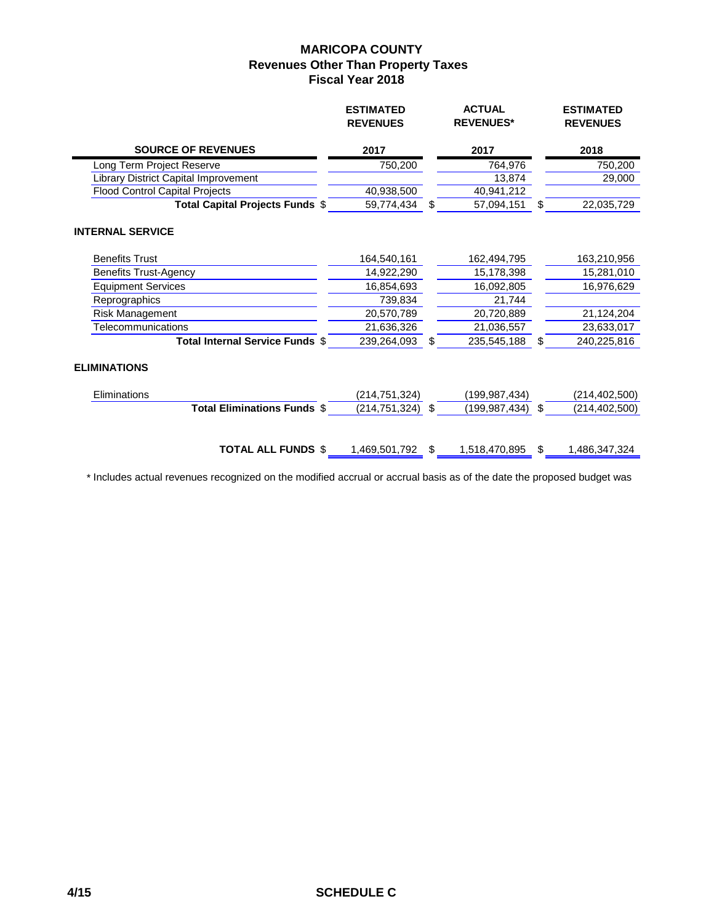|                                       | <b>ESTIMATED</b><br><b>REVENUES</b> | <b>ACTUAL</b><br><b>REVENUES*</b> |               | <b>ESTIMATED</b><br><b>REVENUES</b> |  |
|---------------------------------------|-------------------------------------|-----------------------------------|---------------|-------------------------------------|--|
| <b>SOURCE OF REVENUES</b>             | 2017                                | 2017                              |               | 2018                                |  |
| Long Term Project Reserve             | 750,200                             | 764,976                           |               | 750,200                             |  |
| Library District Capital Improvement  |                                     | 13,874                            |               | 29,000                              |  |
| <b>Flood Control Capital Projects</b> | 40,938,500                          | 40,941,212                        |               |                                     |  |
| Total Capital Projects Funds \$       | 59,774,434                          | \$<br>57,094,151                  | \$.           | 22,035,729                          |  |
| <b>INTERNAL SERVICE</b>               |                                     |                                   |               |                                     |  |
| <b>Benefits Trust</b>                 | 164,540,161                         | 162,494,795                       |               | 163,210,956                         |  |
| <b>Benefits Trust-Agency</b>          | 14,922,290                          | 15,178,398                        |               | 15,281,010                          |  |
| <b>Equipment Services</b>             | 16,854,693                          | 16,092,805                        |               | 16,976,629                          |  |
| Reprographics                         | 739,834                             | 21,744                            |               |                                     |  |
| Risk Management                       | 20,570,789                          | 20,720,889                        |               | 21,124,204                          |  |
| <b>Telecommunications</b>             | 21,636,326                          | 21,036,557                        |               | 23,633,017                          |  |
| Total Internal Service Funds \$       | 239,264,093                         | \$<br>235,545,188                 | \$            | 240,225,816                         |  |
| <b>ELIMINATIONS</b>                   |                                     |                                   |               |                                     |  |
| Eliminations                          | (214,751,324)                       | (199, 987, 434)                   |               | (214, 402, 500)                     |  |
| <b>Total Eliminations Funds \$</b>    | (214, 751, 324)                     | \$<br>(199, 987, 434)             | \$            | (214, 402, 500)                     |  |
| <b>TOTAL ALL FUNDS \$</b>             | 1,469,501,792 \$                    | 1,518,470,895                     | $\frac{1}{2}$ | 1,486,347,324                       |  |

\* Includes actual revenues recognized on the modified accrual or accrual basis as of the date the proposed budget was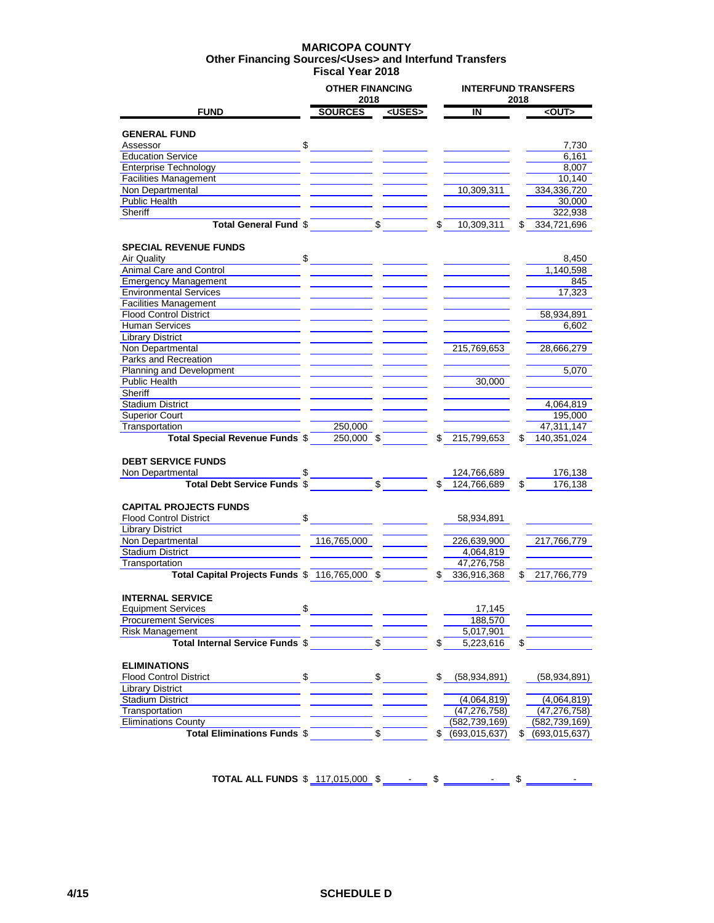#### **MARICOPA COUNTY Fiscal Year 2018 Other Financing Sources/<Uses> and Interfund Transfers**

|                                                                |    | <b>OTHER FINANCING</b><br>2018 |               |                       | <b>INTERFUND TRANSFERS</b><br>2018 |                       |  |  |
|----------------------------------------------------------------|----|--------------------------------|---------------|-----------------------|------------------------------------|-----------------------|--|--|
| <b>FUND</b>                                                    |    | <b>SOURCES</b>                 | <uses></uses> | ΙN                    |                                    | <out></out>           |  |  |
|                                                                |    |                                |               |                       |                                    |                       |  |  |
| <b>GENERAL FUND</b><br>Assessor                                | \$ |                                |               |                       |                                    |                       |  |  |
|                                                                |    |                                |               |                       |                                    | 7,730                 |  |  |
| <b>Education Service</b><br><b>Enterprise Technology</b>       |    |                                |               |                       |                                    | 6,161<br>8,007        |  |  |
|                                                                |    |                                |               |                       |                                    |                       |  |  |
| <b>Facilities Management</b><br>Non Departmental               |    |                                |               | 10,309,311            |                                    | 10,140<br>334,336,720 |  |  |
| <b>Public Health</b>                                           |    |                                |               |                       |                                    |                       |  |  |
| Sheriff                                                        |    |                                |               |                       |                                    | 30,000                |  |  |
|                                                                |    |                                |               |                       |                                    | 322,938               |  |  |
| <b>Total General Fund \$</b>                                   |    |                                | \$            | \$<br>10,309,311      | S                                  | 334,721,696           |  |  |
| <b>SPECIAL REVENUE FUNDS</b>                                   |    |                                |               |                       |                                    |                       |  |  |
| Air Quality                                                    | \$ |                                |               |                       |                                    | 8,450                 |  |  |
| Animal Care and Control                                        |    |                                |               |                       |                                    | 1,140,598             |  |  |
| <b>Emergency Management</b>                                    |    |                                |               |                       |                                    | 845                   |  |  |
| <b>Environmental Services</b>                                  |    |                                |               |                       |                                    | 17,323                |  |  |
| <b>Facilities Management</b>                                   |    |                                |               |                       |                                    |                       |  |  |
| <b>Flood Control District</b>                                  |    |                                |               |                       |                                    | 58,934,891            |  |  |
| <b>Human Services</b>                                          |    |                                |               |                       |                                    | 6,602                 |  |  |
| <b>Library District</b>                                        |    |                                |               |                       |                                    |                       |  |  |
| Non Departmental                                               |    |                                |               | 215,769,653           |                                    | 28,666,279            |  |  |
| Parks and Recreation                                           |    |                                |               |                       |                                    |                       |  |  |
| <b>Planning and Development</b>                                |    |                                |               |                       |                                    | 5,070                 |  |  |
| Public Health                                                  |    |                                |               | 30,000                |                                    |                       |  |  |
| Sheriff                                                        |    |                                |               |                       |                                    |                       |  |  |
| <b>Stadium District</b>                                        |    |                                |               |                       |                                    | 4,064,819             |  |  |
| <b>Superior Court</b>                                          |    |                                |               |                       |                                    | 195,000               |  |  |
| Transportation                                                 |    | 250,000                        |               |                       |                                    | 47,311,147            |  |  |
| <b>Total Special Revenue Funds \$</b>                          |    | $250,000$ \$                   |               | 215,799,653           | S                                  | 140,351,024           |  |  |
|                                                                |    |                                |               |                       |                                    |                       |  |  |
| <b>DEBT SERVICE FUNDS</b>                                      |    |                                |               |                       |                                    |                       |  |  |
| Non Departmental                                               |    |                                | \$            | 124,766,689           |                                    | 176,138               |  |  |
| <b>Total Debt Service Funds \$</b>                             |    |                                |               | \$<br>124,766,689     | \$                                 | 176,138               |  |  |
|                                                                |    |                                |               |                       |                                    |                       |  |  |
| <b>CAPITAL PROJECTS FUNDS</b><br><b>Flood Control District</b> | \$ |                                |               |                       |                                    |                       |  |  |
| <b>Library District</b>                                        |    |                                |               | 58,934,891            |                                    |                       |  |  |
| Non Departmental                                               |    | 116,765,000                    |               | 226,639,900           |                                    | 217,766,779           |  |  |
| <b>Stadium District</b>                                        |    |                                |               | 4,064,819             |                                    |                       |  |  |
| Transportation                                                 |    |                                |               | 47,276,758            |                                    |                       |  |  |
| Total Capital Projects Funds \$ 116,765,000 \$                 |    |                                |               | \$<br>336,916,368     |                                    | 217,766,779           |  |  |
|                                                                |    |                                |               |                       |                                    |                       |  |  |
| <b>INTERNAL SERVICE</b>                                        |    |                                |               |                       |                                    |                       |  |  |
| <b>Equipment Services</b>                                      | \$ |                                |               | 17,145                |                                    |                       |  |  |
| <b>Procurement Services</b>                                    |    |                                |               | 188,570               |                                    |                       |  |  |
| Risk Management                                                |    |                                |               | 5,017,901             |                                    |                       |  |  |
| Total Internal Service Funds \$                                |    |                                | \$            | \$<br>5,223,616       | \$                                 |                       |  |  |
|                                                                |    |                                |               |                       |                                    |                       |  |  |
| <b>ELIMINATIONS</b>                                            |    |                                |               |                       |                                    |                       |  |  |
| <b>Flood Control District</b>                                  | \$ |                                | \$            | \$<br>(58, 934, 891)  |                                    | (58,934,891)          |  |  |
| <b>Library District</b>                                        |    |                                |               |                       |                                    |                       |  |  |
| <b>Stadium District</b>                                        |    |                                |               | (4,064,819)           |                                    | (4,064,819)           |  |  |
| Transportation                                                 |    |                                |               | (47, 276, 758)        |                                    | (47, 276, 758)        |  |  |
| <b>Eliminations County</b>                                     |    |                                |               | (582, 739, 169)       |                                    | (582, 739, 169)       |  |  |
| <b>Total Eliminations Funds \$</b>                             |    |                                | \$            | \$<br>(693, 015, 637) |                                    | (693, 015, 637)       |  |  |
|                                                                |    |                                |               |                       |                                    |                       |  |  |

**TOTAL ALL FUNDS**  $$117,015,000$   $$$   $$$   $$$   $$$   $$$   $$$   $$$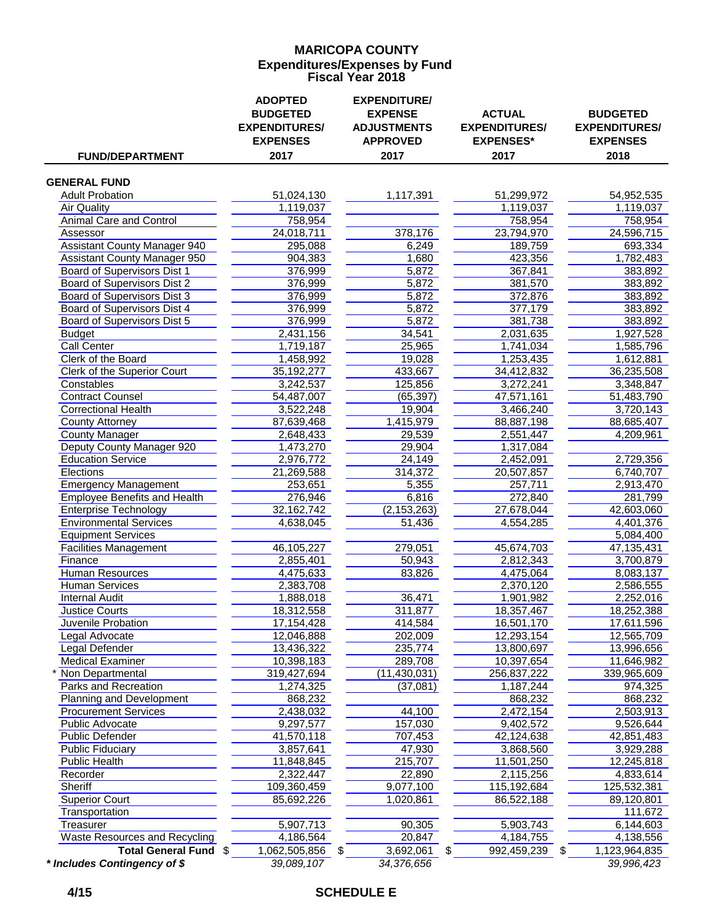## **MARICOPA COUNTY Fiscal Year 2018 Expenditures/Expenses by Fund**

| <b>FUND/DEPARTMENT</b>                | <b>ADOPTED</b><br><b>BUDGETED</b><br><b>EXPENDITURES/</b><br><b>EXPENSES</b><br>2017 | <b>EXPENDITURE/</b><br><b>EXPENSE</b><br><b>ADJUSTMENTS</b><br><b>APPROVED</b><br>2017 | <b>ACTUAL</b><br><b>EXPENDITURES/</b><br><b>EXPENSES*</b><br>2017 | <b>BUDGETED</b><br><b>EXPENDITURES/</b><br><b>EXPENSES</b><br>2018 |
|---------------------------------------|--------------------------------------------------------------------------------------|----------------------------------------------------------------------------------------|-------------------------------------------------------------------|--------------------------------------------------------------------|
|                                       |                                                                                      |                                                                                        |                                                                   |                                                                    |
| <b>GENERAL FUND</b>                   |                                                                                      |                                                                                        |                                                                   |                                                                    |
| <b>Adult Probation</b><br>Air Quality | 51,024,130<br>1,119,037                                                              | 1,117,391                                                                              | 51,299,972                                                        | 54,952,535<br>1,119,037                                            |
| <b>Animal Care and Control</b>        | 758,954                                                                              |                                                                                        | 1,119,037<br>758,954                                              | 758,954                                                            |
| Assessor                              | 24,018,711                                                                           | 378,176                                                                                | 23,794,970                                                        | 24,596,715                                                         |
| <b>Assistant County Manager 940</b>   | 295,088                                                                              | 6,249                                                                                  | 189,759                                                           | 693,334                                                            |
| <b>Assistant County Manager 950</b>   | 904,383                                                                              | 1,680                                                                                  | 423,356                                                           | 1,782,483                                                          |
| <b>Board of Supervisors Dist 1</b>    | 376,999                                                                              | 5,872                                                                                  | 367,841                                                           | 383,892                                                            |
| <b>Board of Supervisors Dist 2</b>    | 376,999                                                                              | 5,872                                                                                  | 381,570                                                           | 383,892                                                            |
| <b>Board of Supervisors Dist 3</b>    | 376,999                                                                              | 5,872                                                                                  | 372,876                                                           | 383,892                                                            |
| <b>Board of Supervisors Dist 4</b>    | 376,999                                                                              | 5,872                                                                                  | 377,179                                                           | 383,892                                                            |
| Board of Supervisors Dist 5           | 376,999                                                                              | 5,872                                                                                  | 381,738                                                           | 383,892                                                            |
| <b>Budget</b>                         | 2,431,156                                                                            | 34,541                                                                                 | 2,031,635                                                         | 1,927,528                                                          |
| <b>Call Center</b>                    | 1,719,187                                                                            | 25,965                                                                                 | 1,741,034                                                         | 1,585,796                                                          |
| Clerk of the Board                    | 1,458,992                                                                            | 19,028                                                                                 | 1,253,435                                                         | 1,612,881                                                          |
| Clerk of the Superior Court           | 35, 192, 277                                                                         | 433,667                                                                                | 34,412,832                                                        | 36,235,508                                                         |
| Constables                            | 3,242,537                                                                            | 125,856                                                                                | 3,272,241                                                         | 3,348,847                                                          |
| <b>Contract Counsel</b>               | 54,487,007                                                                           | (65, 397)                                                                              | 47,571,161                                                        | 51,483,790                                                         |
| <b>Correctional Health</b>            | 3,522,248                                                                            | 19,904                                                                                 | 3,466,240                                                         | 3,720,143                                                          |
| <b>County Attorney</b>                | 87,639,468                                                                           | 1,415,979                                                                              | 88,887,198                                                        | 88,685,407                                                         |
| <b>County Manager</b>                 | 2,648,433                                                                            | 29,539                                                                                 | 2,551,447                                                         | 4,209,961                                                          |
| Deputy County Manager 920             | 1,473,270                                                                            | 29,904                                                                                 | 1,317,084                                                         |                                                                    |
| <b>Education Service</b>              | 2,976,772                                                                            | 24,149                                                                                 | 2,452,091                                                         | 2,729,356                                                          |
| Elections                             | 21,269,588                                                                           | 314,372                                                                                | 20,507,857                                                        | 6,740,707                                                          |
| <b>Emergency Management</b>           | 253,651                                                                              | 5,355                                                                                  | 257,711                                                           | 2,913,470                                                          |
| <b>Employee Benefits and Health</b>   | 276,946                                                                              | 6,816                                                                                  | 272,840                                                           | 281,799                                                            |
| <b>Enterprise Technology</b>          | 32,162,742                                                                           | (2, 153, 263)                                                                          | 27,678,044                                                        | 42,603,060                                                         |
| <b>Environmental Services</b>         | 4,638,045                                                                            | 51,436                                                                                 | 4,554,285                                                         | 4,401,376                                                          |
| <b>Equipment Services</b>             |                                                                                      |                                                                                        |                                                                   | 5,084,400                                                          |
| <b>Facilities Management</b>          | 46,105,227                                                                           | 279,051                                                                                | 45,674,703                                                        | 47,135,431                                                         |
| Finance                               | 2,855,401                                                                            | 50,943                                                                                 | 2,812,343                                                         | 3,700,879                                                          |
| <b>Human Resources</b>                | 4,475,633                                                                            | 83,826                                                                                 | 4,475,064                                                         | 8,083,137                                                          |
| Human Services                        | 2,383,708                                                                            |                                                                                        | 2,370,120                                                         | 2,586,555                                                          |
| <b>Internal Audit</b>                 | 1,888,018                                                                            | 36,471                                                                                 | 1,901,982                                                         | 2,252,016                                                          |
| <b>Justice Courts</b>                 | 18,312,558                                                                           | 311,877                                                                                | 18,357,467                                                        | 18,252,388                                                         |
| Juvenile Probation                    | 17,154,428                                                                           | 414,584                                                                                | 16,501,170                                                        | 17,611,596                                                         |
| egal Advocate                         | 12,046,888                                                                           | 202,009                                                                                | 12,293,154                                                        | 12,565,709                                                         |
| Legal Defender                        | 13,436,322                                                                           | 235,774                                                                                | 13,800,697                                                        | 13,996,656                                                         |
| <b>Medical Examiner</b>               | 10,398,183                                                                           | 289,708                                                                                | 10,397,654                                                        | 11,646,982                                                         |
| Non Departmental                      | 319,427,694                                                                          | (11, 430, 031)                                                                         | 256,837,222                                                       | 339,965,609                                                        |
| Parks and Recreation                  | 1,274,325                                                                            | (37,081)                                                                               | 1,187,244                                                         | 974,325                                                            |
| Planning and Development              | 868,232                                                                              |                                                                                        | 868,232                                                           | 868,232                                                            |
| <b>Procurement Services</b>           | 2,438,032                                                                            | 44,100                                                                                 | 2,472,154                                                         | 2,503,913                                                          |
| Public Advocate                       | 9,297,577                                                                            | 157,030                                                                                | 9,402,572                                                         | 9,526,644                                                          |
| <b>Public Defender</b>                | 41,570,118                                                                           | 707,453                                                                                | 42,124,638                                                        | 42,851,483                                                         |
| <b>Public Fiduciary</b>               | 3,857,641                                                                            | 47,930                                                                                 | 3,868,560                                                         | 3,929,288                                                          |
| Public Health                         | 11,848,845                                                                           | 215,707                                                                                | 11,501,250                                                        | 12,245,818                                                         |
| Recorder                              | 2,322,447                                                                            | 22,890                                                                                 | 2,115,256                                                         | 4,833,614                                                          |
| Sheriff                               | 109,360,459                                                                          | 9,077,100                                                                              | 115,192,684                                                       | 125,532,381                                                        |
| <b>Superior Court</b>                 | 85,692,226                                                                           | 1,020,861                                                                              | 86,522,188                                                        | 89,120,801                                                         |
| Transportation                        |                                                                                      |                                                                                        |                                                                   | 111,672                                                            |
| Treasurer                             | 5,907,713                                                                            | 90,305                                                                                 | 5,903,743                                                         | 6,144,603                                                          |
| <b>Waste Resources and Recycling</b>  | 4,186,564                                                                            | 20,847                                                                                 | 4,184,755                                                         | 4,138,556                                                          |
| Total General Fund \$                 | 1,062,505,856                                                                        | 3,692,061<br>\$                                                                        | 992,459,239<br>\$                                                 | 1,123,964,835<br>\$                                                |
| * Includes Contingency of \$          | 39,089,107                                                                           | 34,376,656                                                                             |                                                                   | 39,996,423                                                         |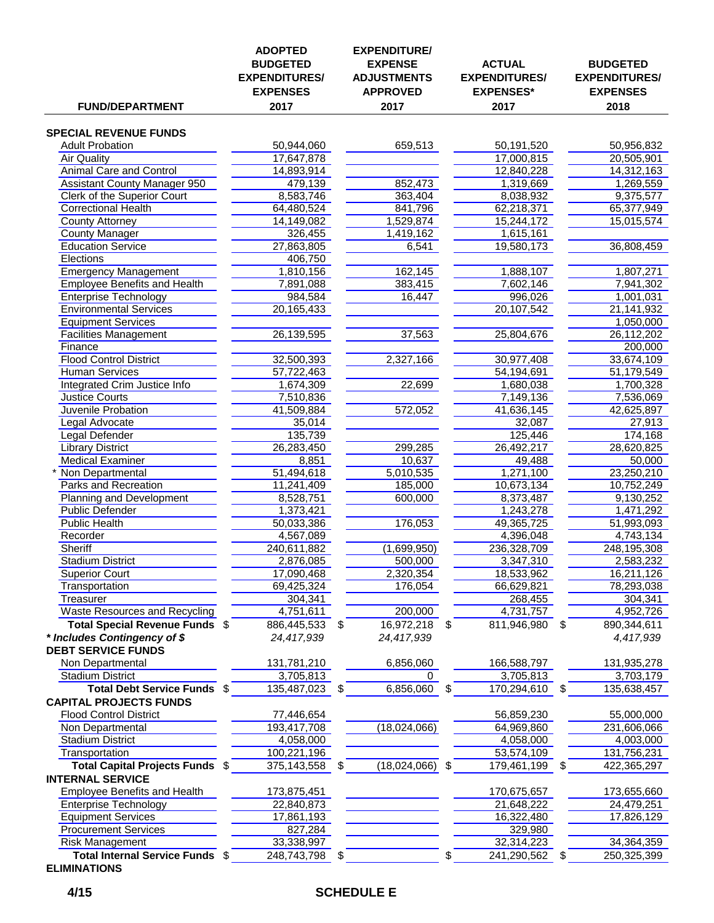| <b>FUND/DEPARTMENT</b>                                        | <b>ADOPTED</b><br><b>BUDGETED</b><br><b>EXPENDITURES/</b><br><b>EXPENSES</b><br>2017 |    | <b>EXPENDITURE/</b><br><b>EXPENSE</b><br><b>ADJUSTMENTS</b><br><b>APPROVED</b><br>2017 | <b>ACTUAL</b><br><b>EXPENDITURES/</b><br><b>EXPENSES*</b><br>2017 |    | <b>BUDGETED</b><br><b>EXPENDITURES/</b><br><b>EXPENSES</b><br>2018 |
|---------------------------------------------------------------|--------------------------------------------------------------------------------------|----|----------------------------------------------------------------------------------------|-------------------------------------------------------------------|----|--------------------------------------------------------------------|
| <b>SPECIAL REVENUE FUNDS</b>                                  |                                                                                      |    |                                                                                        |                                                                   |    |                                                                    |
| <b>Adult Probation</b>                                        | 50,944,060                                                                           |    | 659,513                                                                                | 50, 191, 520                                                      |    | 50,956,832                                                         |
| <b>Air Quality</b>                                            | 17,647,878                                                                           |    |                                                                                        | 17,000,815                                                        |    | 20,505,901                                                         |
| <b>Animal Care and Control</b>                                | 14,893,914                                                                           |    |                                                                                        | 12,840,228                                                        |    | 14,312,163                                                         |
| <b>Assistant County Manager 950</b>                           | 479,139                                                                              |    | 852,473                                                                                | 1,319,669                                                         |    | 1,269,559                                                          |
| <b>Clerk of the Superior Court</b>                            | 8,583,746                                                                            |    | 363,404                                                                                | 8,038,932                                                         |    | 9,375,577                                                          |
| <b>Correctional Health</b>                                    | 64,480,524                                                                           |    | 841,796                                                                                | 62,218,371                                                        |    | 65,377,949                                                         |
| <b>County Attorney</b>                                        | 14,149,082                                                                           |    | 1,529,874                                                                              | 15,244,172                                                        |    | 15,015,574                                                         |
| <b>County Manager</b>                                         | 326,455                                                                              |    | 1,419,162                                                                              | 1,615,161                                                         |    |                                                                    |
| <b>Education Service</b>                                      | 27,863,805                                                                           |    | 6,541                                                                                  | 19,580,173                                                        |    | 36,808,459                                                         |
| <b>Elections</b>                                              | 406,750                                                                              |    |                                                                                        |                                                                   |    |                                                                    |
| <b>Emergency Management</b>                                   | 1,810,156                                                                            |    | 162,145                                                                                | 1,888,107                                                         |    | 1,807,271                                                          |
| <b>Employee Benefits and Health</b>                           | 7,891,088                                                                            |    | 383,415                                                                                | 7,602,146<br>996,026                                              |    | 7,941,302                                                          |
| <b>Enterprise Technology</b><br><b>Environmental Services</b> | 984,584<br>20,165,433                                                                |    | 16,447                                                                                 | 20,107,542                                                        |    | 1,001,031<br>21,141,932                                            |
| <b>Equipment Services</b>                                     |                                                                                      |    |                                                                                        |                                                                   |    | 1,050,000                                                          |
| <b>Facilities Management</b>                                  | 26,139,595                                                                           |    | 37,563                                                                                 | 25,804,676                                                        |    | 26,112,202                                                         |
| Finance                                                       |                                                                                      |    |                                                                                        |                                                                   |    | 200,000                                                            |
| <b>Flood Control District</b>                                 | 32,500,393                                                                           |    | 2,327,166                                                                              | 30,977,408                                                        |    | 33,674,109                                                         |
| <b>Human Services</b>                                         | 57,722,463                                                                           |    |                                                                                        | 54,194,691                                                        |    | 51,179,549                                                         |
| Integrated Crim Justice Info                                  | 1,674,309                                                                            |    | 22,699                                                                                 | 1,680,038                                                         |    | 1,700,328                                                          |
| <b>Justice Courts</b>                                         | 7,510,836                                                                            |    |                                                                                        | 7,149,136                                                         |    | 7,536,069                                                          |
| Juvenile Probation                                            | 41,509,884                                                                           |    | 572,052                                                                                | 41,636,145                                                        |    | 42,625,897                                                         |
| egal Advocate                                                 | 35,014                                                                               |    |                                                                                        | 32,087                                                            |    | 27,913                                                             |
| egal Defender                                                 | 135,739                                                                              |    |                                                                                        | 125,446                                                           |    | 174,168                                                            |
| <b>Library District</b>                                       | 26,283,450                                                                           |    | 299,285                                                                                | 26,492,217                                                        |    | 28,620,825                                                         |
| <b>Medical Examiner</b>                                       | 8,851                                                                                |    | 10,637                                                                                 | 49,488                                                            |    | 50,000                                                             |
| Non Departmental                                              | 51,494,618                                                                           |    | 5,010,535                                                                              | 1,271,100                                                         |    | 23,250,210                                                         |
| Parks and Recreation<br>Planning and Development              | 11,241,409<br>8,528,751                                                              |    | 185,000<br>600,000                                                                     | 10,673,134<br>8,373,487                                           |    | 10,752,249<br>9,130,252                                            |
| <b>Public Defender</b>                                        | 1,373,421                                                                            |    |                                                                                        | 1,243,278                                                         |    | 1,471,292                                                          |
| <b>Public Health</b>                                          | 50,033,386                                                                           |    | 176,053                                                                                | 49,365,725                                                        |    | 51,993,093                                                         |
| Recorder                                                      | 4,567,089                                                                            |    |                                                                                        | 4,396,048                                                         |    | 4,743,134                                                          |
| <b>Sheriff</b>                                                | 240,611,882                                                                          |    | (1,699,950)                                                                            | 236,328,709                                                       |    | 248,195,308                                                        |
| <b>Stadium District</b>                                       | 2,876,085                                                                            |    | 500,000                                                                                | 3,347,310                                                         |    | 2,583,232                                                          |
| <b>Superior Court</b>                                         | 17,090,468                                                                           |    | 2,320,354                                                                              | 18,533,962                                                        |    | 16,211,126                                                         |
| Transportation                                                | 69,425,324                                                                           |    | 176,054                                                                                | 66,629,821                                                        |    | 78,293,038                                                         |
| Treasurer                                                     | 304,341                                                                              |    |                                                                                        | 268,455                                                           |    | 304,341                                                            |
| <b>Waste Resources and Recycling</b>                          | 4,751,611                                                                            |    | 200,000                                                                                | 4,731,757                                                         |    | 4,952,726                                                          |
| Total Special Revenue Funds \$                                | 886,445,533                                                                          | S. | 16,972,218                                                                             | \$<br>811,946,980                                                 | \$ | 890,344,611                                                        |
| * Includes Contingency of \$<br><b>DEBT SERVICE FUNDS</b>     | 24,417,939                                                                           |    | 24,417,939                                                                             |                                                                   |    | 4,417,939                                                          |
| Non Departmental                                              | 131,781,210                                                                          |    | 6,856,060                                                                              | 166,588,797                                                       |    | 131,935,278                                                        |
| <b>Stadium District</b>                                       | 3,705,813                                                                            |    | 0                                                                                      | 3,705,813                                                         |    | 3,703,179                                                          |
| Total Debt Service Funds \$<br><b>CAPITAL PROJECTS FUNDS</b>  | 135,487,023                                                                          | \$ | 6,856,060                                                                              | \$<br>170,294,610                                                 | \$ | 135,638,457                                                        |
| <b>Flood Control District</b>                                 | 77,446,654                                                                           |    |                                                                                        | 56,859,230                                                        |    | 55,000,000                                                         |
| Non Departmental                                              | 193,417,708                                                                          |    | (18,024,066)                                                                           | 64,969,860                                                        |    | 231,606,066                                                        |
| <b>Stadium District</b>                                       | 4,058,000                                                                            |    |                                                                                        | 4,058,000                                                         |    | 4,003,000                                                          |
| Transportation                                                | 100,221,196                                                                          |    |                                                                                        | 53,574,109                                                        |    | 131,756,231                                                        |
| Total Capital Projects Funds \$                               | 375,143,558                                                                          | \$ | (18,024,066)                                                                           | \$<br>179,461,199                                                 | \$ | 422,365,297                                                        |
| <b>INTERNAL SERVICE</b><br>Employee Benefits and Health       | 173,875,451                                                                          |    |                                                                                        | 170,675,657                                                       |    | 173,655,660                                                        |
| <b>Enterprise Technology</b>                                  | 22,840,873                                                                           |    |                                                                                        | 21,648,222                                                        |    | 24,479,251                                                         |
| <b>Equipment Services</b>                                     | 17,861,193                                                                           |    |                                                                                        | 16,322,480                                                        |    | 17,826,129                                                         |
| <b>Procurement Services</b>                                   | 827,284                                                                              |    |                                                                                        | 329,980                                                           |    |                                                                    |
| <b>Risk Management</b>                                        | 33,338,997                                                                           |    |                                                                                        | 32,314,223                                                        |    | 34,364,359                                                         |
| Total Internal Service Funds \$                               | 248,743,798                                                                          | \$ |                                                                                        | \$<br>241,290,562                                                 | \$ | 250,325,399                                                        |

**ELIMINATIONS**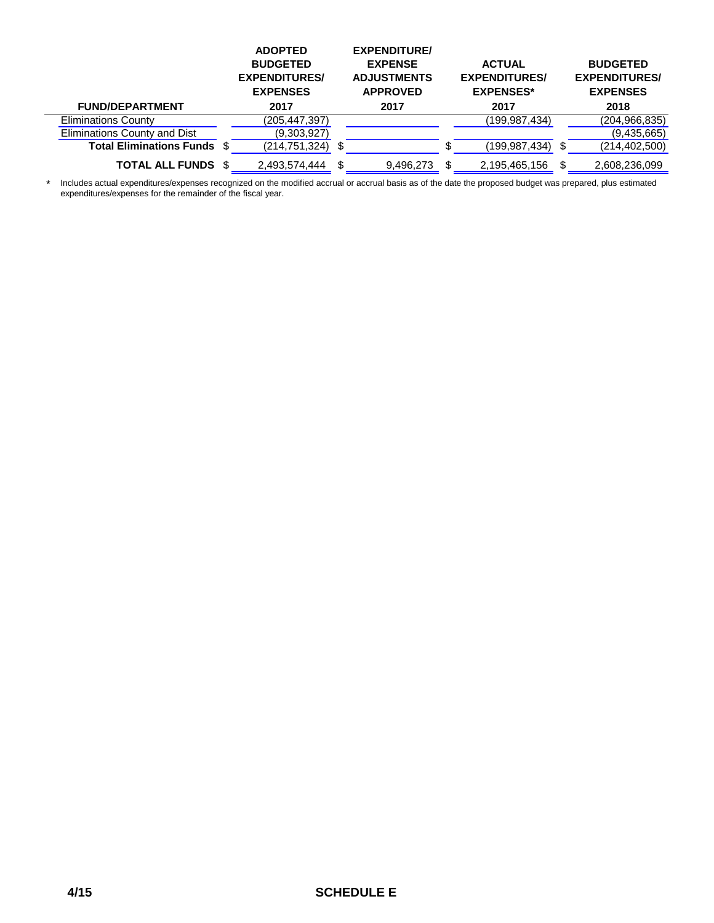|                                    | <b>ADOPTED</b><br><b>BUDGETED</b><br><b>EXPENDITURES/</b><br><b>EXPENSES</b> | <b>EXPENDITURE/</b><br><b>EXPENSE</b><br><b>ADJUSTMENTS</b><br><b>APPROVED</b> | <b>ACTUAL</b><br><b>EXPENDITURES/</b><br><b>EXPENSES*</b> |   | <b>BUDGETED</b><br><b>EXPENDITURES/</b><br><b>EXPENSES</b> |  |
|------------------------------------|------------------------------------------------------------------------------|--------------------------------------------------------------------------------|-----------------------------------------------------------|---|------------------------------------------------------------|--|
| <b>FUND/DEPARTMENT</b>             | 2017                                                                         | 2017                                                                           | 2017                                                      |   | 2018                                                       |  |
| <b>Eliminations County</b>         | (205,447,397)                                                                |                                                                                | (199,987,434)                                             |   | (204, 966, 835)                                            |  |
| Eliminations County and Dist       | (9,303,927)                                                                  |                                                                                |                                                           |   | (9,435,665)                                                |  |
| <b>Total Eliminations Funds \$</b> | (214,751,324)                                                                |                                                                                | (199.987.434)                                             | S | (214, 402, 500)                                            |  |
| <b>TOTAL ALL FUNDS \$</b>          | 2,493,574,444                                                                | \$.<br>9,496,273                                                               | 2,195,465,156                                             |   | 2,608,236,099                                              |  |
|                                    |                                                                              |                                                                                |                                                           |   |                                                            |  |

\* Includes actual expenditures/expenses recognized on the modified accrual or accrual basis as of the date the proposed budget was prepared, plus estimated expenditures/expenses for the remainder of the fiscal year.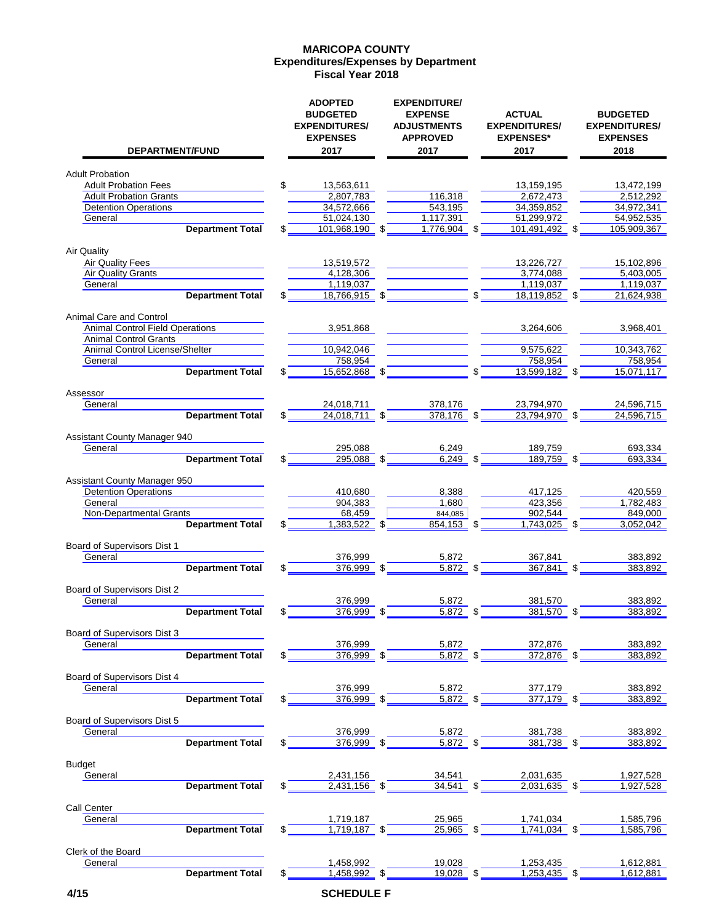#### **Expenditures/Expenses by Department MARICOPA COUNTY Fiscal Year 2018**

| DEPARTMENT/FUND                                                        | <b>ADOPTED</b><br><b>BUDGETED</b><br><b>EXPENDITURES/</b><br><b>EXPENSES</b><br>2017 | <b>EXPENDITURE/</b><br><b>EXPENSE</b><br><b>ADJUSTMENTS</b><br><b>APPROVED</b><br>2017 | <b>ACTUAL</b><br><b>EXPENDITURES/</b><br><b>EXPENSES*</b><br>2017 | <b>BUDGETED</b><br><b>EXPENDITURES/</b><br><b>EXPENSES</b><br>2018 |
|------------------------------------------------------------------------|--------------------------------------------------------------------------------------|----------------------------------------------------------------------------------------|-------------------------------------------------------------------|--------------------------------------------------------------------|
| <b>Adult Probation</b>                                                 |                                                                                      |                                                                                        |                                                                   |                                                                    |
| <b>Adult Probation Fees</b>                                            | \$<br>13,563,611                                                                     |                                                                                        | 13,159,195                                                        | 13,472,199                                                         |
| <b>Adult Probation Grants</b>                                          | 2,807,783                                                                            | 116,318                                                                                | 2,672,473                                                         | 2,512,292                                                          |
| <b>Detention Operations</b>                                            | 34,572,666                                                                           | 543,195                                                                                | 34,359,852                                                        | 34,972,341                                                         |
| General                                                                | 51,024,130                                                                           | 1,117,391                                                                              | 51,299,972                                                        | 54,952,535                                                         |
| <b>Department Total</b>                                                | \$<br>101,968,190                                                                    | \$<br>1,776,904                                                                        | \$<br>101,491,492 \$                                              | 105,909,367                                                        |
| Air Quality                                                            |                                                                                      |                                                                                        |                                                                   |                                                                    |
| <b>Air Quality Fees</b>                                                | 13,519,572                                                                           |                                                                                        | 13,226,727                                                        | 15,102,896                                                         |
| <b>Air Quality Grants</b>                                              | 4,128,306                                                                            |                                                                                        | 3,774,088                                                         | 5,403,005                                                          |
| General                                                                | 1,119,037                                                                            |                                                                                        | 1,119,037                                                         | 1,119,037                                                          |
| <b>Department Total</b>                                                | 18,766,915 \$                                                                        |                                                                                        | 18,119,852 \$                                                     | 21,624,938                                                         |
| Animal Care and Control                                                |                                                                                      |                                                                                        |                                                                   |                                                                    |
| <b>Animal Control Field Operations</b><br><b>Animal Control Grants</b> | 3,951,868                                                                            |                                                                                        | 3,264,606                                                         | 3,968,401                                                          |
| Animal Control License/Shelter                                         | 10,942,046                                                                           |                                                                                        | 9,575,622                                                         | 10,343,762                                                         |
| General                                                                | 758,954                                                                              |                                                                                        | 758,954                                                           | 758,954                                                            |
| <b>Department Total</b>                                                | 15,652,868 \$                                                                        |                                                                                        | 13,599,182 \$                                                     | 15,071,117                                                         |
| Assessor                                                               |                                                                                      |                                                                                        |                                                                   |                                                                    |
| General                                                                | 24,018,711                                                                           | 378,176                                                                                | 23,794,970                                                        | 24,596,715                                                         |
| <b>Department Total</b>                                                | \$<br>24,018,711 \$                                                                  | $378,176$ \$                                                                           | 23,794,970 \$                                                     | 24,596,715                                                         |
|                                                                        |                                                                                      |                                                                                        |                                                                   |                                                                    |
| <b>Assistant County Manager 940</b><br>General                         | 295,088                                                                              | 6,249                                                                                  | 189,759                                                           | 693,334                                                            |
| <b>Department Total</b>                                                | \$<br>$295,088$ \$                                                                   | $6,249$ \$                                                                             | 189,759 \$                                                        | 693,334                                                            |
|                                                                        |                                                                                      |                                                                                        |                                                                   |                                                                    |
| <b>Assistant County Manager 950</b>                                    |                                                                                      |                                                                                        |                                                                   |                                                                    |
| <b>Detention Operations</b>                                            | 410,680                                                                              | 8,388                                                                                  | 417,125                                                           | 420,559                                                            |
| General<br>Non-Departmental Grants                                     | 904,383<br>68,459                                                                    | 1,680<br>844,085                                                                       | 423,356<br>902,544                                                | 1,782,483<br>849,000                                               |
| <b>Department Total</b>                                                | 1,383,522 \$                                                                         | $854,153$ \$                                                                           | 1,743,025 \$                                                      | 3,052,042                                                          |
|                                                                        |                                                                                      |                                                                                        |                                                                   |                                                                    |
| Board of Supervisors Dist 1                                            |                                                                                      |                                                                                        |                                                                   |                                                                    |
| General<br><b>Department Total</b>                                     | \$<br>376,999<br>376,999 \$                                                          | 5,872                                                                                  | 367,841<br>$367,841$ \$                                           | 383,892                                                            |
|                                                                        |                                                                                      | $5,872$ \$                                                                             |                                                                   | 383,892                                                            |
| Board of Supervisors Dist 2                                            |                                                                                      |                                                                                        |                                                                   |                                                                    |
| General                                                                | 376,999                                                                              | 5,872                                                                                  | 381,570                                                           | 383,892                                                            |
| <b>Department Total</b>                                                | \$<br>376,999 \$                                                                     | $5,872$ \$                                                                             | 381,570 \$                                                        | 383,892                                                            |
| Board of Supervisors Dist 3                                            |                                                                                      |                                                                                        |                                                                   |                                                                    |
| General                                                                | 376,999                                                                              | 5,872                                                                                  | 372,876                                                           | 383,892                                                            |
| <b>Department Total</b>                                                | \$<br>$376,999$ \$                                                                   | $5,872$ \$                                                                             | 372,876 \$                                                        | 383,892                                                            |
| Board of Supervisors Dist 4                                            |                                                                                      |                                                                                        |                                                                   |                                                                    |
| General                                                                | 376,999                                                                              | 5,872                                                                                  | 377,179                                                           | 383,892                                                            |
| <b>Department Total</b>                                                | 376.999                                                                              | \$<br>5,872                                                                            | \$<br>$377,179$ \$                                                | 383,892                                                            |
|                                                                        |                                                                                      |                                                                                        |                                                                   |                                                                    |
| Board of Supervisors Dist 5<br>General                                 | 376,999                                                                              | 5,872                                                                                  | 381,738                                                           | 383,892                                                            |
| <b>Department Total</b>                                                | 376,999 \$                                                                           | 5,872                                                                                  | 381,738                                                           | 383,892                                                            |
|                                                                        |                                                                                      |                                                                                        |                                                                   |                                                                    |
| <b>Budget</b>                                                          |                                                                                      |                                                                                        |                                                                   |                                                                    |
| General                                                                | 2,431,156                                                                            | 34,541                                                                                 | 2,031,635                                                         | 1,927,528                                                          |
| <b>Department Total</b>                                                | $2,431,156$ \$                                                                       | 34,541                                                                                 | 2,031,635 \$                                                      | 1,927,528                                                          |
| Call Center                                                            |                                                                                      |                                                                                        |                                                                   |                                                                    |
| General                                                                | 1,719,187                                                                            | 25,965                                                                                 | 1,741,034                                                         | 1,585,796                                                          |
| <b>Department Total</b>                                                | 1,719,187 \$                                                                         | 25,965 \$                                                                              | 1,741,034 \$                                                      | 1,585,796                                                          |
|                                                                        |                                                                                      |                                                                                        |                                                                   |                                                                    |
| Clerk of the Board<br>General                                          | 1,458,992                                                                            | 19,028                                                                                 | 1,253,435                                                         | 1,612,881                                                          |
| <b>Department Total</b>                                                | 1,458,992 \$                                                                         | 19,028                                                                                 | 1.253.435                                                         | 1,612,881                                                          |
|                                                                        |                                                                                      |                                                                                        |                                                                   |                                                                    |
| 4/15                                                                   | <b>SCHEDULE F</b>                                                                    |                                                                                        |                                                                   |                                                                    |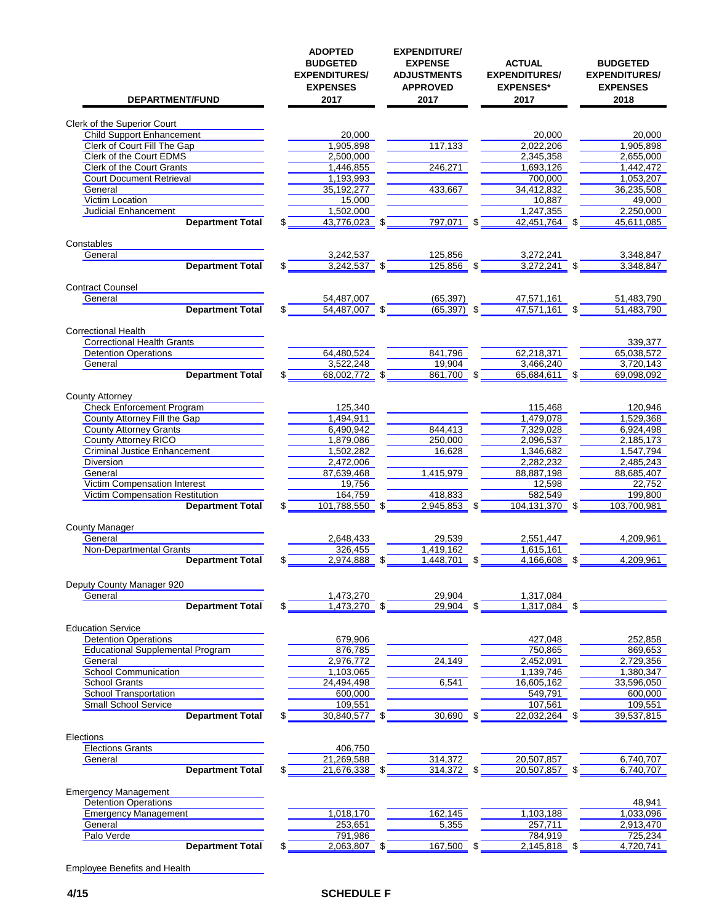| DEPARTMENT/FUND                                                        | <b>ADOPTED</b><br><b>BUDGETED</b><br><b>EXPENDITURES/</b><br><b>EXPENSES</b><br>2017 | <b>EXPENDITURE</b><br><b>EXPENSE</b><br><b>ADJUSTMENTS</b><br><b>APPROVED</b><br>2017 |    | <b>ACTUAL</b><br><b>EXPENDITURES/</b><br><b>EXPENSES*</b><br>2017 |     | <b>BUDGETED</b><br><b>EXPENDITURES/</b><br><b>EXPENSES</b><br>2018 |
|------------------------------------------------------------------------|--------------------------------------------------------------------------------------|---------------------------------------------------------------------------------------|----|-------------------------------------------------------------------|-----|--------------------------------------------------------------------|
| <b>Clerk of the Superior Court</b>                                     |                                                                                      |                                                                                       |    |                                                                   |     |                                                                    |
| <b>Child Support Enhancement</b>                                       | 20.000                                                                               |                                                                                       |    | 20.000                                                            |     | 20,000                                                             |
| Clerk of Court Fill The Gap                                            | 1,905,898                                                                            | 117,133                                                                               |    | 2,022,206                                                         |     | 1,905,898                                                          |
| Clerk of the Court EDMS                                                | 2,500,000                                                                            |                                                                                       |    | 2,345,358                                                         |     | 2,655,000                                                          |
| <b>Clerk of the Court Grants</b>                                       | 1,446,855                                                                            | 246,271                                                                               |    | 1,693,126                                                         |     | 1,442,472                                                          |
| <b>Court Document Retrieval</b>                                        | 1,193,993                                                                            | 433,667                                                                               |    | 700.000                                                           |     | 1,053,207                                                          |
| General<br>Victim Location                                             | 35, 192, 277<br>15,000                                                               |                                                                                       |    | 34,412,832<br>10,887                                              |     | 36,235,508<br>49,000                                               |
| <b>Judicial Enhancement</b>                                            | 1,502,000                                                                            |                                                                                       |    | 1,247,355                                                         |     | 2,250,000                                                          |
| <b>Department Total</b>                                                | 43,776,023                                                                           | \$<br>797,071                                                                         | \$ | 42,451,764                                                        | \$  | 45,611,085                                                         |
| Constables                                                             |                                                                                      |                                                                                       |    |                                                                   |     |                                                                    |
| General                                                                | 3,242,537                                                                            | 125,856                                                                               |    | 3,272,241                                                         |     | 3,348,847                                                          |
| <b>Department Total</b>                                                | \$<br>3,242,537 \$                                                                   | 125,856                                                                               |    | 3,272,241                                                         |     | 3,348,847                                                          |
| <b>Contract Counsel</b>                                                |                                                                                      |                                                                                       |    |                                                                   |     |                                                                    |
| General                                                                | 54,487,007                                                                           | (65, 397)                                                                             |    | 47,571,161                                                        |     | 51,483,790                                                         |
| <b>Department Total</b>                                                | \$<br>54.487.007                                                                     | \$<br>(65, 397)                                                                       | \$ | 47,571,161 \$                                                     |     | 51,483,790                                                         |
|                                                                        |                                                                                      |                                                                                       |    |                                                                   |     |                                                                    |
| <b>Correctional Health</b>                                             |                                                                                      |                                                                                       |    |                                                                   |     |                                                                    |
| <b>Correctional Health Grants</b><br><b>Detention Operations</b>       | 64,480,524                                                                           | 841,796                                                                               |    | 62.218.371                                                        |     | 339,377<br>65,038,572                                              |
| General                                                                | 3,522,248                                                                            | 19,904                                                                                |    | 3,466,240                                                         |     | 3,720,143                                                          |
| <b>Department Total</b>                                                | 68,002,772                                                                           | \$<br>861,700                                                                         | \$ | 65,684,611                                                        | -\$ | 69,098,092                                                         |
|                                                                        |                                                                                      |                                                                                       |    |                                                                   |     |                                                                    |
| <b>County Attorney</b>                                                 |                                                                                      |                                                                                       |    |                                                                   |     |                                                                    |
| Check Enforcement Program<br>County Attorney Fill the Gap              | 125,340<br>1,494,911                                                                 |                                                                                       |    | 115,468<br>1,479,078                                              |     | 120,946<br>1,529,368                                               |
| <b>County Attorney Grants</b>                                          | 6,490,942                                                                            | 844,413                                                                               |    | 7,329,028                                                         |     | 6,924,498                                                          |
| <b>County Attorney RICO</b>                                            | 1,879,086                                                                            | 250,000                                                                               |    | 2,096,537                                                         |     | 2,185,173                                                          |
| <b>Criminal Justice Enhancement</b>                                    | 1,502,282                                                                            | 16,628                                                                                |    | 1,346,682                                                         |     | 1,547,794                                                          |
| Diversion                                                              | 2,472,006                                                                            |                                                                                       |    | 2,282,232                                                         |     | 2,485,243                                                          |
| General                                                                | 87,639,468                                                                           | 1,415,979                                                                             |    | 88,887,198                                                        |     | 88,685,407<br>22,752                                               |
| Victim Compensation Interest<br>Victim Compensation Restitution        | 19,756<br>164,759                                                                    | 418,833                                                                               |    | 12,598<br>582,549                                                 |     | 199,800                                                            |
| <b>Department Total</b>                                                | 101,788,550 \$                                                                       | 2,945,853                                                                             | S  | 104,131,370 \$                                                    |     | 103,700,981                                                        |
| <b>County Manager</b>                                                  |                                                                                      |                                                                                       |    |                                                                   |     |                                                                    |
| General                                                                | 2,648,433                                                                            | 29,539                                                                                |    | 2,551,447                                                         |     | 4,209,961                                                          |
| Non-Departmental Grants                                                | 326.455                                                                              | 1.419.162                                                                             |    | 1,615,161                                                         |     |                                                                    |
| <b>Department Total</b>                                                | 2,974,888                                                                            | \$<br>1,448,701                                                                       |    | 4,166,608                                                         |     | 4,209,961                                                          |
| Deputy County Manager 920                                              |                                                                                      |                                                                                       |    |                                                                   |     |                                                                    |
| General                                                                | 1,473,270                                                                            | 29.904                                                                                |    | 1,317,084                                                         |     |                                                                    |
| <b>Department Total</b>                                                | \$<br>1,473,270                                                                      | \$<br>29,904                                                                          | \$ | 1,317,084                                                         | S   |                                                                    |
|                                                                        |                                                                                      |                                                                                       |    |                                                                   |     |                                                                    |
| <b>Education Service</b>                                               |                                                                                      |                                                                                       |    |                                                                   |     |                                                                    |
| <b>Detention Operations</b><br><b>Educational Supplemental Program</b> | 679,906<br>876,785                                                                   |                                                                                       |    | 427,048<br>750,865                                                |     | 252,858<br>869,653                                                 |
| General                                                                | 2,976,772                                                                            | 24,149                                                                                |    | 2,452,091                                                         |     | 2,729,356                                                          |
| <b>School Communication</b>                                            | 1,103,065                                                                            |                                                                                       |    | 1,139,746                                                         |     | 1,380,347                                                          |
| <b>School Grants</b>                                                   | 24,494,498                                                                           | 6,541                                                                                 |    | 16,605,162                                                        |     | 33,596,050                                                         |
| School Transportation                                                  | 600,000                                                                              |                                                                                       |    | 549,791                                                           |     | 600,000                                                            |
| Small School Service                                                   | 109,551                                                                              |                                                                                       |    | 107,561                                                           |     | 109,551                                                            |
| <b>Department Total</b>                                                | \$<br>30,840,577 \$                                                                  | 30,690                                                                                | \$ | 22,032,264 \$                                                     |     | 39,537,815                                                         |
| Elections                                                              |                                                                                      |                                                                                       |    |                                                                   |     |                                                                    |
| <b>Elections Grants</b>                                                | 406,750                                                                              |                                                                                       |    |                                                                   |     |                                                                    |
| General                                                                | 21,269,588                                                                           | 314,372                                                                               |    | 20,507,857                                                        |     | 6,740,707                                                          |
| <b>Department Total</b>                                                | \$<br>21,676,338 \$                                                                  | 314,372                                                                               | \$ | 20,507,857 \$                                                     |     | 6,740,707                                                          |
| <b>Emergency Management</b>                                            |                                                                                      |                                                                                       |    |                                                                   |     |                                                                    |
| <b>Detention Operations</b>                                            |                                                                                      |                                                                                       |    |                                                                   |     | 48,941                                                             |
| <b>Emergency Management</b><br>General                                 | 1,018,170<br>253,651                                                                 | 162,145<br>5,355                                                                      |    | 1,103,188<br>257,711                                              |     | 1,033,096<br>2,913,470                                             |
| Palo Verde                                                             | 791,986                                                                              |                                                                                       |    | 784,919                                                           |     | 725,234                                                            |
| <b>Department Total</b>                                                | 2,063,807 \$                                                                         | 167,500 \$                                                                            |    | 2,145,818 \$                                                      |     | 4,720,741                                                          |
|                                                                        |                                                                                      |                                                                                       |    |                                                                   |     |                                                                    |

Employee Benefits and Health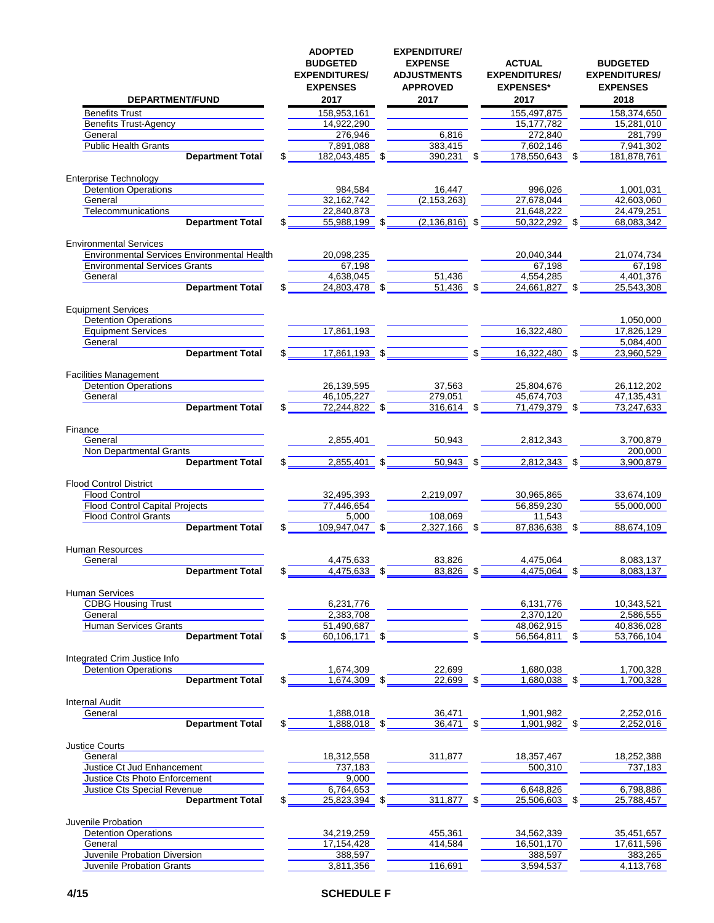| <b>DEPARTMENT/FUND</b>                             |    | <b>ADOPTED</b><br><b>BUDGETED</b><br><b>EXPENDITURES/</b><br><b>EXPENSES</b><br>2017 |      | <b>EXPENDITURE/</b><br><b>EXPENSE</b><br><b>ADJUSTMENTS</b><br><b>APPROVED</b><br>2017 |      | <b>ACTUAL</b><br><b>EXPENDITURES/</b><br><b>EXPENSES*</b><br>2017 | <b>BUDGETED</b><br><b>EXPENDITURES/</b><br><b>EXPENSES</b><br>2018 |
|----------------------------------------------------|----|--------------------------------------------------------------------------------------|------|----------------------------------------------------------------------------------------|------|-------------------------------------------------------------------|--------------------------------------------------------------------|
| <b>Benefits Trust</b>                              |    | 158.953.161                                                                          |      |                                                                                        |      | 155,497,875                                                       | 158,374,650                                                        |
| <b>Benefits Trust-Agency</b>                       |    | 14,922,290                                                                           |      |                                                                                        |      | 15,177,782                                                        | 15,281,010                                                         |
| General                                            |    | 276,946                                                                              |      | 6,816                                                                                  |      | 272,840                                                           | 281,799                                                            |
| <b>Public Health Grants</b>                        |    | 7,891,088                                                                            |      | 383,415                                                                                |      | 7,602,146                                                         | 7,941,302                                                          |
| <b>Department Total</b>                            | \$ | 182,043,485                                                                          | \$   | 390,231                                                                                | \$   | 178,550,643                                                       | \$<br>181,878,761                                                  |
|                                                    |    |                                                                                      |      |                                                                                        |      |                                                                   |                                                                    |
| <b>Enterprise Technology</b>                       |    |                                                                                      |      |                                                                                        |      |                                                                   |                                                                    |
| <b>Detention Operations</b>                        |    | 984,584                                                                              |      | 16,447                                                                                 |      | 996,026                                                           | 1,001,031                                                          |
| General                                            |    | 32,162,742                                                                           |      | (2, 153, 263)                                                                          |      | 27,678,044                                                        | 42,603,060                                                         |
| Telecommunications                                 |    | 22,840,873                                                                           |      |                                                                                        |      | 21,648,222                                                        | 24,479,251                                                         |
| <b>Department Total</b>                            |    | 55,988,199                                                                           | \$   | $(2, 136, 816)$ \$                                                                     |      | 50,322,292                                                        | \$<br>68,083,342                                                   |
|                                                    |    |                                                                                      |      |                                                                                        |      |                                                                   |                                                                    |
| <b>Environmental Services</b>                      |    |                                                                                      |      |                                                                                        |      |                                                                   |                                                                    |
| <b>Environmental Services Environmental Health</b> |    | 20,098,235                                                                           |      |                                                                                        |      | 20,040,344                                                        | 21,074,734                                                         |
| <b>Environmental Services Grants</b>               |    | 67,198                                                                               |      |                                                                                        |      | 67,198                                                            | 67,198                                                             |
| General                                            |    | 4,638,045                                                                            |      | 51,436                                                                                 |      | 4,554,285                                                         | 4,401,376                                                          |
| <b>Department Total</b>                            | \$ | 24.803.478 \$                                                                        |      | 51,436                                                                                 |      | 24,661,827                                                        | 25,543,308                                                         |
|                                                    |    |                                                                                      |      |                                                                                        |      |                                                                   |                                                                    |
| <b>Equipment Services</b>                          |    |                                                                                      |      |                                                                                        |      |                                                                   |                                                                    |
| Detention Operations                               |    |                                                                                      |      |                                                                                        |      |                                                                   | 1,050,000                                                          |
| <b>Equipment Services</b>                          |    | 17,861,193                                                                           |      |                                                                                        |      | 16,322,480                                                        | 17,826,129                                                         |
|                                                    |    |                                                                                      |      |                                                                                        |      |                                                                   |                                                                    |
| General                                            |    |                                                                                      |      |                                                                                        | \$   |                                                                   | 5,084,400                                                          |
| <b>Department Total</b>                            | \$ | 17,861,193 \$                                                                        |      |                                                                                        |      | 16,322,480 \$                                                     | 23,960,529                                                         |
|                                                    |    |                                                                                      |      |                                                                                        |      |                                                                   |                                                                    |
| <b>Facilities Management</b>                       |    |                                                                                      |      |                                                                                        |      |                                                                   |                                                                    |
| <b>Detention Operations</b>                        |    | 26,139,595                                                                           |      | 37,563                                                                                 |      | 25,804,676                                                        | 26,112,202                                                         |
| General                                            |    | 46,105,227                                                                           |      | 279,051                                                                                |      | 45,674,703                                                        | 47,135,431                                                         |
| <b>Department Total</b>                            | \$ | 72,244,822 \$                                                                        |      | 316,614 \$                                                                             |      | 71,479,379 \$                                                     | 73,247,633                                                         |
|                                                    |    |                                                                                      |      |                                                                                        |      |                                                                   |                                                                    |
| Finance                                            |    |                                                                                      |      |                                                                                        |      |                                                                   |                                                                    |
| General                                            |    | 2,855,401                                                                            |      | 50,943                                                                                 |      | 2,812,343                                                         | 3,700,879                                                          |
| Non Departmental Grants                            |    |                                                                                      |      |                                                                                        |      |                                                                   | 200,000                                                            |
| <b>Department Total</b>                            |    | 2,855,401                                                                            | \$   | 50,943 \$                                                                              |      | 2,812,343 \$                                                      | 3,900,879                                                          |
|                                                    |    |                                                                                      |      |                                                                                        |      |                                                                   |                                                                    |
| <b>Flood Control District</b>                      |    |                                                                                      |      |                                                                                        |      |                                                                   |                                                                    |
| <b>Flood Control</b>                               |    | 32,495,393                                                                           |      | 2,219,097                                                                              |      | 30,965,865                                                        | 33,674,109                                                         |
| <b>Flood Control Capital Projects</b>              |    | 77,446,654                                                                           |      |                                                                                        |      | 56,859,230                                                        | 55,000,000                                                         |
| <b>Flood Control Grants</b>                        |    | 5.000                                                                                |      | 108,069                                                                                |      | 11,543                                                            |                                                                    |
| <b>Department Total</b>                            |    | 109,947,047 \$                                                                       |      | 2,327,166                                                                              | - \$ | 87,836,638 \$                                                     | 88,674,109                                                         |
|                                                    |    |                                                                                      |      |                                                                                        |      |                                                                   |                                                                    |
| <b>Human Resources</b>                             |    |                                                                                      |      |                                                                                        |      |                                                                   |                                                                    |
| General                                            |    | 4,475,633                                                                            |      | 83,826                                                                                 |      | 4,475,064                                                         | 8,083,137                                                          |
| <b>Department Total</b>                            | \$ | 4,475,633                                                                            | \$   | 83,826                                                                                 | \$   | 4,475,064                                                         | \$<br>8,083,137                                                    |
|                                                    |    |                                                                                      |      |                                                                                        |      |                                                                   |                                                                    |
| <b>Human Services</b>                              |    |                                                                                      |      |                                                                                        |      |                                                                   |                                                                    |
| <b>CDBG Housing Trust</b>                          |    | 6,231,776                                                                            |      |                                                                                        |      | 6,131,776                                                         | 10,343,521                                                         |
| General                                            |    | 2,383,708                                                                            |      |                                                                                        |      | 2,370,120                                                         | 2,586,555                                                          |
| <b>Human Services Grants</b>                       |    | 51,490,687                                                                           |      |                                                                                        |      | 48,062,915                                                        | 40,836,028                                                         |
| <b>Department Total</b>                            |    | 60.106.171                                                                           | - \$ |                                                                                        |      | 56,564,811 \$                                                     | 53,766,104                                                         |
|                                                    |    |                                                                                      |      |                                                                                        |      |                                                                   |                                                                    |
| Integrated Crim Justice Info                       |    |                                                                                      |      |                                                                                        |      |                                                                   |                                                                    |
| <b>Detention Operations</b>                        |    | 1,674,309                                                                            |      | 22,699                                                                                 |      | 1,680,038                                                         | 1,700,328                                                          |
| <b>Department Total</b>                            | S  | 1,674,309                                                                            | \$   | 22,699                                                                                 |      | 1,680,038                                                         | \$<br>1,700,328                                                    |
|                                                    |    |                                                                                      |      |                                                                                        |      |                                                                   |                                                                    |
| <b>Internal Audit</b>                              |    |                                                                                      |      |                                                                                        |      |                                                                   |                                                                    |
| General                                            |    | 1,888,018                                                                            |      | 36,471                                                                                 |      | 1,901,982                                                         | 2,252,016                                                          |
| <b>Department Total</b>                            |    | 1,888,018 \$                                                                         |      | $36,471$ \$                                                                            |      | 1,901,982 \$                                                      | 2,252,016                                                          |
|                                                    |    |                                                                                      |      |                                                                                        |      |                                                                   |                                                                    |
| <b>Justice Courts</b>                              |    |                                                                                      |      |                                                                                        |      |                                                                   |                                                                    |
| General                                            |    | 18,312,558                                                                           |      | 311,877                                                                                |      | 18,357,467                                                        | 18,252,388                                                         |
| Justice Ct Jud Enhancement                         |    | 737,183                                                                              |      |                                                                                        |      | 500,310                                                           | 737,183                                                            |
| Justice Cts Photo Enforcement                      |    | 9,000                                                                                |      |                                                                                        |      |                                                                   |                                                                    |
| <b>Justice Cts Special Revenue</b>                 |    | 6,764,653                                                                            |      |                                                                                        |      | 6,648,826                                                         | 6,798,886                                                          |
| <b>Department Total</b>                            |    | 25,823,394 \$                                                                        |      | 311,877 \$                                                                             |      | 25,506,603 \$                                                     | 25,788,457                                                         |
|                                                    |    |                                                                                      |      |                                                                                        |      |                                                                   |                                                                    |
| Juvenile Probation                                 |    |                                                                                      |      |                                                                                        |      |                                                                   |                                                                    |
| <b>Detention Operations</b>                        |    | 34,219,259                                                                           |      | 455,361                                                                                |      | 34,562,339                                                        | 35,451,657                                                         |
| General                                            |    | 17,154,428                                                                           |      | 414,584                                                                                |      | 16,501,170                                                        | 17,611,596                                                         |
| Juvenile Probation Diversion                       |    | 388,597                                                                              |      |                                                                                        |      | 388,597                                                           | 383,265                                                            |
| Juvenile Probation Grants                          |    | 3,811,356                                                                            |      | 116,691                                                                                |      | 3,594,537                                                         | 4,113,768                                                          |
|                                                    |    |                                                                                      |      |                                                                                        |      |                                                                   |                                                                    |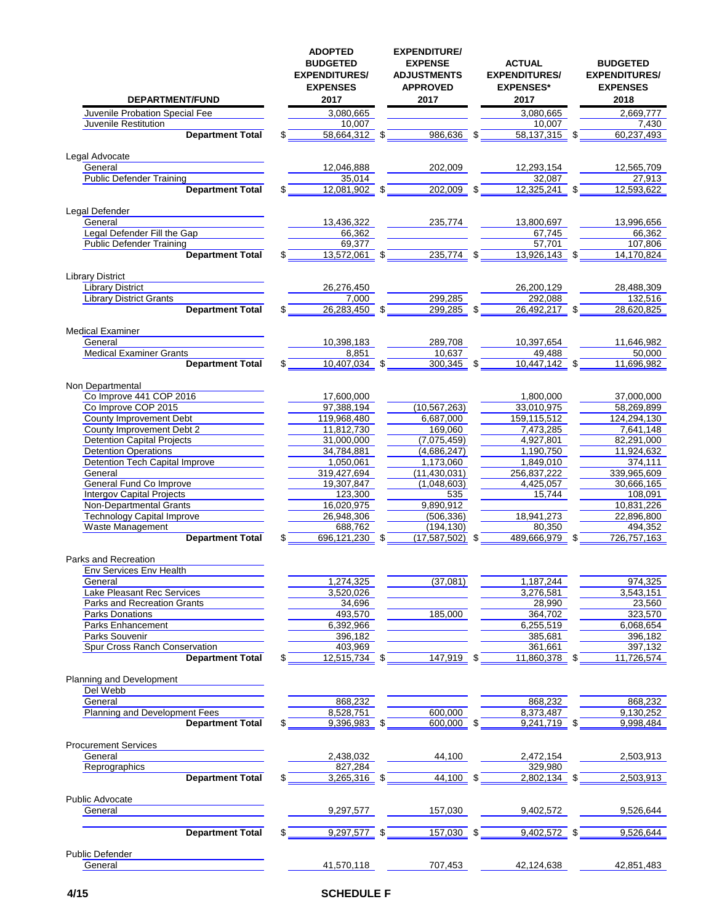| DEPARTMENT/FUND                                                  | <b>ADOPTED</b><br><b>BUDGETED</b><br><b>EXPENDITURES/</b><br><b>EXPENSES</b><br>2017 | <b>EXPENDITURE/</b><br><b>EXPENSE</b><br><b>ADJUSTMENTS</b><br><b>APPROVED</b><br>2017 |     | <b>ACTUAL</b><br><b>EXPENDITURES/</b><br><b>EXPENSES*</b><br>2017 | <b>BUDGETED</b><br><b>EXPENDITURES/</b><br><b>EXPENSES</b><br>2018 |
|------------------------------------------------------------------|--------------------------------------------------------------------------------------|----------------------------------------------------------------------------------------|-----|-------------------------------------------------------------------|--------------------------------------------------------------------|
| Juvenile Probation Special Fee                                   | 3,080,665                                                                            |                                                                                        |     | 3,080,665                                                         | 2,669,777                                                          |
| Juvenile Restitution                                             | 10,007                                                                               |                                                                                        |     | 10,007                                                            | 7,430                                                              |
| <b>Department Total</b>                                          | $58,664,312$ \$                                                                      | 986,636                                                                                |     | 58,137,315 \$                                                     | 60,237,493                                                         |
| Legal Advocate                                                   |                                                                                      |                                                                                        |     |                                                                   |                                                                    |
| General                                                          | 12,046,888                                                                           | 202,009                                                                                |     | 12,293,154                                                        | 12,565,709                                                         |
| <b>Public Defender Training</b>                                  | 35.014                                                                               |                                                                                        |     | 32,087                                                            | 27,913                                                             |
| <b>Department Total</b>                                          | $12,081,902$ \$                                                                      | 202,009                                                                                |     | 12,325,241 \$                                                     | 12,593,622                                                         |
| Legal Defender                                                   |                                                                                      |                                                                                        |     |                                                                   |                                                                    |
| General                                                          | 13,436,322                                                                           | 235,774                                                                                |     | 13,800,697<br>67,745                                              | 13,996,656                                                         |
| Legal Defender Fill the Gap<br><b>Public Defender Training</b>   | 66,362<br>69,377                                                                     |                                                                                        |     | 57,701                                                            | 66,362<br>107,806                                                  |
| <b>Department Total</b>                                          | 13,572,061                                                                           | \$<br>235,774                                                                          | \$  | 13,926,143 \$                                                     | 14,170,824                                                         |
| <b>Library District</b>                                          |                                                                                      |                                                                                        |     |                                                                   |                                                                    |
| <b>Library District</b>                                          | 26,276,450                                                                           |                                                                                        |     | 26,200,129                                                        | 28,488,309                                                         |
| <b>Library District Grants</b>                                   | 7,000                                                                                | 299,285                                                                                |     | 292,088                                                           | 132,516                                                            |
| <b>Department Total</b>                                          | \$<br>26,283,450 \$                                                                  | 299,285                                                                                | \$  | 26,492,217 \$                                                     | 28,620,825                                                         |
| <b>Medical Examiner</b>                                          |                                                                                      |                                                                                        |     |                                                                   |                                                                    |
| General                                                          | 10,398,183                                                                           | 289,708                                                                                |     | 10,397,654                                                        | 11,646,982                                                         |
| <b>Medical Examiner Grants</b>                                   | 8.851                                                                                | 10,637                                                                                 |     | 49.488                                                            | 50.000                                                             |
| <b>Department Total</b>                                          | 10,407,034                                                                           | \$<br>300,345                                                                          | \$  | $10,447,142$ \$                                                   | 11,696,982                                                         |
| Non Departmental                                                 |                                                                                      |                                                                                        |     |                                                                   |                                                                    |
| Co Improve 441 COP 2016                                          | 17,600,000                                                                           |                                                                                        |     | 1,800,000                                                         | 37,000,000                                                         |
| Co Improve COP 2015<br>County Improvement Debt                   | 97,388,194<br>119,968,480                                                            | (10, 567, 263)<br>6,687,000                                                            |     | 33,010,975<br>159,115,512                                         | 58,269,899<br>124,294,130                                          |
| County Improvement Debt 2                                        | 11,812,730                                                                           | 169,060                                                                                |     | 7,473,285                                                         | 7,641,148                                                          |
| <b>Detention Capital Projects</b>                                | 31,000,000                                                                           | (7,075,459)                                                                            |     | 4,927,801                                                         | 82,291,000                                                         |
| <b>Detention Operations</b>                                      | 34,784,881                                                                           | (4,686,247)                                                                            |     | 1,190,750                                                         | 11,924,632                                                         |
| <b>Detention Tech Capital Improve</b>                            | 1,050,061                                                                            | 1,173,060                                                                              |     | 1,849,010                                                         | 374,111                                                            |
| General                                                          | 319,427,694                                                                          | (11, 430, 031)                                                                         |     | 256,837,222                                                       | 339,965,609                                                        |
| General Fund Co Improve<br><b>Intergov Capital Projects</b>      | 19,307,847<br>123,300                                                                | (1,048,603)<br>535                                                                     |     | 4,425,057<br>15,744                                               | 30,666,165<br>108,091                                              |
| <b>Non-Departmental Grants</b>                                   | 16,020,975                                                                           | 9,890,912                                                                              |     |                                                                   | 10,831,226                                                         |
| <b>Technology Capital Improve</b>                                | 26,948,306                                                                           | (506, 336)                                                                             |     | 18,941,273                                                        | 22,896,800                                                         |
| Waste Management                                                 | 688,762                                                                              | (194, 130)                                                                             |     | 80.350                                                            | 494,352                                                            |
| <b>Department Total</b>                                          | 696,121,230                                                                          | \$<br>(17, 587, 502)                                                                   |     | 489,666,979                                                       | \$<br>726,757,163                                                  |
| Parks and Recreation                                             |                                                                                      |                                                                                        |     |                                                                   |                                                                    |
| Env Services Env Health                                          |                                                                                      |                                                                                        |     |                                                                   |                                                                    |
| General                                                          | 1,274,325                                                                            | (37,081)                                                                               |     | 1,187,244                                                         | 974,325                                                            |
| <b>Lake Pleasant Rec Services</b><br>Parks and Recreation Grants | 3,520,026<br>34,696                                                                  |                                                                                        |     | 3,276,581<br>28,990                                               | 3,543,151<br>23,560                                                |
| Parks Donations                                                  | 493,570                                                                              | 185,000                                                                                |     | 364,702                                                           | 323,570                                                            |
| <b>Parks Enhancement</b>                                         | 6,392,966                                                                            |                                                                                        |     | 6,255,519                                                         | 6,068,654                                                          |
| Parks Souvenir                                                   | 396,182                                                                              |                                                                                        |     | 385,681                                                           | 396,182                                                            |
| Spur Cross Ranch Conservation                                    | 403,969                                                                              |                                                                                        |     | 361,661                                                           | 397,132                                                            |
| <b>Department Total</b>                                          | \$<br>12,515,734 \$                                                                  | 147,919                                                                                |     | 11,860,378 \$                                                     | 11,726,574                                                         |
| Planning and Development                                         |                                                                                      |                                                                                        |     |                                                                   |                                                                    |
| Del Webb<br>General                                              | 868,232                                                                              |                                                                                        |     | 868,232                                                           | 868.232                                                            |
| Planning and Development Fees                                    | 8,528,751                                                                            | 600,000                                                                                |     | 8,373,487                                                         | 9,130,252                                                          |
| <b>Department Total</b>                                          | $9,396,983$ \$                                                                       | 600,000 \$                                                                             |     | $9,241,719$ \$                                                    | 9,998,484                                                          |
| <b>Procurement Services</b>                                      |                                                                                      |                                                                                        |     |                                                                   |                                                                    |
| General                                                          | 2,438,032                                                                            | 44,100                                                                                 |     | 2,472,154                                                         | 2,503,913                                                          |
| Reprographics                                                    | 827,284                                                                              |                                                                                        |     | 329,980                                                           |                                                                    |
| <b>Department Total</b>                                          | 3,265,316 \$                                                                         | 44,100                                                                                 | \$  | 2,802,134 \$                                                      | 2,503,913                                                          |
| Public Advocate                                                  |                                                                                      |                                                                                        |     |                                                                   |                                                                    |
| General                                                          | 9,297,577                                                                            | 157,030                                                                                |     | 9,402,572                                                         | 9,526,644                                                          |
| <b>Department Total</b>                                          | 9,297,577                                                                            | \$<br>157,030                                                                          | -\$ | 9,402,572 \$                                                      | 9,526,644                                                          |
|                                                                  |                                                                                      |                                                                                        |     |                                                                   |                                                                    |
| <b>Public Defender</b><br>General                                | 41,570,118                                                                           | 707,453                                                                                |     | 42,124,638                                                        | 42,851,483                                                         |
|                                                                  |                                                                                      |                                                                                        |     |                                                                   |                                                                    |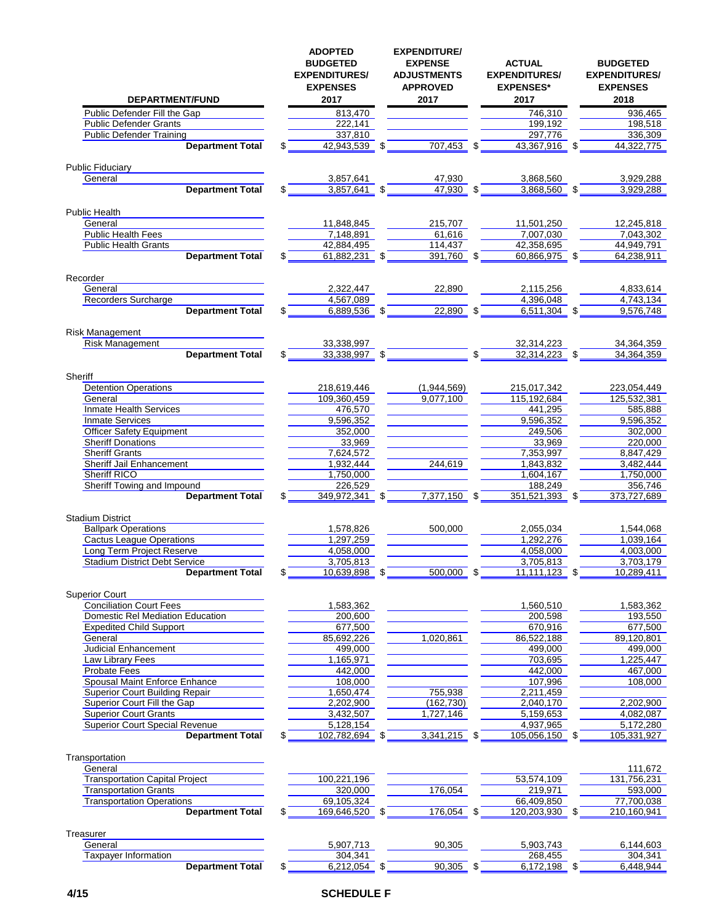| DEPARTMENT/FUND                                                  | <b>ADOPTED</b><br><b>BUDGETED</b><br><b>EXPENDITURES/</b><br><b>EXPENSES</b><br>2017 | <b>EXPENDITURE/</b><br><b>EXPENSE</b><br><b>ADJUSTMENTS</b><br><b>APPROVED</b><br>2017 |    | <b>ACTUAL</b><br><b>EXPENDITURES/</b><br><b>EXPENSES*</b><br>2017 | <b>BUDGETED</b><br><b>EXPENDITURES/</b><br><b>EXPENSES</b><br>2018 |
|------------------------------------------------------------------|--------------------------------------------------------------------------------------|----------------------------------------------------------------------------------------|----|-------------------------------------------------------------------|--------------------------------------------------------------------|
| Public Defender Fill the Gap                                     | 813,470                                                                              |                                                                                        |    | 746,310                                                           | 936,465                                                            |
| <b>Public Defender Grants</b>                                    | 222,141                                                                              |                                                                                        |    | 199,192                                                           | 198.518                                                            |
| <b>Public Defender Training</b>                                  | 337,810                                                                              |                                                                                        |    | 297,776                                                           | 336,309                                                            |
| <b>Department Total</b>                                          | 42,943,539 \$                                                                        | 707,453                                                                                |    | 43,367,916 \$                                                     | 44,322,775                                                         |
|                                                                  |                                                                                      |                                                                                        |    |                                                                   |                                                                    |
| <b>Public Fiduciary</b>                                          |                                                                                      |                                                                                        |    |                                                                   |                                                                    |
| General                                                          | 3,857,641                                                                            | 47,930                                                                                 |    | 3,868,560                                                         | 3.929.288                                                          |
| <b>Department Total</b>                                          | 3,857,641                                                                            | 47,930                                                                                 |    | 3,868,560                                                         | 3,929,288                                                          |
| <b>Public Health</b>                                             |                                                                                      |                                                                                        |    |                                                                   |                                                                    |
| General                                                          | 11,848,845                                                                           | 215,707                                                                                |    | 11,501,250                                                        | 12,245,818                                                         |
| <b>Public Health Fees</b>                                        | 7,148,891                                                                            | 61,616                                                                                 |    | 7,007,030                                                         | 7,043,302                                                          |
| <b>Public Health Grants</b>                                      | 42,884,495                                                                           | 114,437                                                                                |    | 42,358,695                                                        | 44,949,791                                                         |
| <b>Department Total</b>                                          | \$<br>61,882,231                                                                     | \$<br>391,760                                                                          | \$ | 60,866,975                                                        | \$<br>64,238,911                                                   |
|                                                                  |                                                                                      |                                                                                        |    |                                                                   |                                                                    |
| Recorder                                                         |                                                                                      |                                                                                        |    |                                                                   |                                                                    |
| General                                                          | 2,322,447                                                                            | 22,890                                                                                 |    | 2,115,256                                                         | 4,833,614                                                          |
| Recorders Surcharge                                              | 4,567,089                                                                            |                                                                                        |    | 4,396,048                                                         | 4,743,134                                                          |
| <b>Department Total</b>                                          | \$<br>6,889,536 \$                                                                   | $22,890$ \$                                                                            |    | $6,511,304$ \$                                                    | 9,576,748                                                          |
|                                                                  |                                                                                      |                                                                                        |    |                                                                   |                                                                    |
| <b>Risk Management</b><br><b>Risk Management</b>                 | 33,338,997                                                                           |                                                                                        |    | 32,314,223                                                        | 34,364,359                                                         |
| <b>Department Total</b>                                          | \$<br>33,338,997 \$                                                                  |                                                                                        | \$ | 32,314,223 \$                                                     | 34,364,359                                                         |
|                                                                  |                                                                                      |                                                                                        |    |                                                                   |                                                                    |
| Sheriff                                                          |                                                                                      |                                                                                        |    |                                                                   |                                                                    |
| <b>Detention Operations</b>                                      | 218,619,446                                                                          | (1,944,569)                                                                            |    | 215,017,342                                                       | 223,054,449                                                        |
| General                                                          | 109,360,459                                                                          | 9,077,100                                                                              |    | 115,192,684                                                       | 125,532,381                                                        |
| Inmate Health Services                                           | 476,570                                                                              |                                                                                        |    | 441,295                                                           | 585,888                                                            |
| <b>Inmate Services</b>                                           | 9,596,352                                                                            |                                                                                        |    | 9,596,352                                                         | 9,596,352                                                          |
| <b>Officer Safety Equipment</b>                                  | 352,000                                                                              |                                                                                        |    | 249,506                                                           | 302,000                                                            |
| <b>Sheriff Donations</b>                                         | 33,969                                                                               |                                                                                        |    | 33,969                                                            | 220,000                                                            |
| <b>Sheriff Grants</b>                                            | 7,624,572                                                                            |                                                                                        |    | 7,353,997                                                         | 8,847,429                                                          |
| Sheriff Jail Enhancement                                         | 1,932,444                                                                            | 244,619                                                                                |    | 1,843,832                                                         | 3,482,444                                                          |
| Sheriff RICO                                                     | 1,750,000                                                                            |                                                                                        |    | 1,604,167                                                         | 1,750,000                                                          |
| Sheriff Towing and Impound                                       | 226,529                                                                              |                                                                                        |    | 188,249                                                           | 356,746                                                            |
| <b>Department Total</b>                                          | \$<br>349,972,341                                                                    | \$<br>7,377,150 \$                                                                     |    | 351,521,393                                                       | \$<br>373,727,689                                                  |
| <b>Stadium District</b>                                          |                                                                                      |                                                                                        |    |                                                                   |                                                                    |
| <b>Ballpark Operations</b>                                       | 1,578,826                                                                            | 500,000                                                                                |    | 2,055,034                                                         | 1,544,068                                                          |
| <b>Cactus League Operations</b>                                  | 1,297,259                                                                            |                                                                                        |    | 1,292,276                                                         | 1,039,164                                                          |
| Long Term Project Reserve                                        | 4,058,000                                                                            |                                                                                        |    | 4,058,000                                                         | 4,003,000                                                          |
| <b>Stadium District Debt Service</b>                             | 3,705,813                                                                            |                                                                                        |    | 3,705,813                                                         | 3,703,179                                                          |
| <b>Department Total</b>                                          | \$<br>10,639,898 \$                                                                  | 500,000                                                                                | \$ | $11,111,123$ \$                                                   | 10,289,411                                                         |
|                                                                  |                                                                                      |                                                                                        |    |                                                                   |                                                                    |
| <b>Superior Court</b>                                            |                                                                                      |                                                                                        |    |                                                                   |                                                                    |
| <b>Conciliation Court Fees</b>                                   | 1,583,362                                                                            |                                                                                        |    | 1,560,510                                                         | 1,583,362                                                          |
| Domestic Rel Mediation Education                                 | 200,600                                                                              |                                                                                        |    | 200,598                                                           | 193,550                                                            |
| <b>Expedited Child Support</b>                                   | 677,500                                                                              |                                                                                        |    | 670,916                                                           | 677,500                                                            |
| General                                                          | 85,692,226                                                                           | 1,020,861                                                                              |    | 86,522,188                                                        | 89,120,801                                                         |
| <b>Judicial Enhancement</b>                                      | 499,000                                                                              |                                                                                        |    | 499,000                                                           | 499,000                                                            |
| Law Library Fees                                                 | 1,165,971                                                                            |                                                                                        |    | 703,695                                                           | 1,225,447                                                          |
| <b>Probate Fees</b>                                              | 442,000                                                                              |                                                                                        |    | 442,000                                                           | 467,000                                                            |
| Spousal Maint Enforce Enhance                                    | 108,000                                                                              |                                                                                        |    | 107,996                                                           | 108,000                                                            |
| <b>Superior Court Building Repair</b>                            | 1,650,474                                                                            | 755,938                                                                                |    | 2,211,459                                                         |                                                                    |
| Superior Court Fill the Gap                                      | 2,202,900                                                                            | (162, 730)                                                                             |    | 2,040,170                                                         | 2,202,900                                                          |
| <b>Superior Court Grants</b>                                     | 3,432,507                                                                            | 1,727,146                                                                              |    | 5,159,653                                                         | 4,082,087                                                          |
| <b>Superior Court Special Revenue</b><br><b>Department Total</b> | 5,128,154<br>102,782,694 \$                                                          | 3,341,215                                                                              | \$ | 4,937,965<br>105,056,150 \$                                       | 5,172,280<br>105,331,927                                           |
|                                                                  |                                                                                      |                                                                                        |    |                                                                   |                                                                    |
| Transportation                                                   |                                                                                      |                                                                                        |    |                                                                   |                                                                    |
| General                                                          |                                                                                      |                                                                                        |    |                                                                   | 111,672                                                            |
| <b>Transportation Capital Project</b>                            | 100,221,196                                                                          |                                                                                        |    | 53,574,109                                                        | 131,756,231                                                        |
| <b>Transportation Grants</b>                                     | 320,000                                                                              | 176,054                                                                                |    | 219,971                                                           | 593,000                                                            |
| <b>Transportation Operations</b>                                 | 69,105,324                                                                           |                                                                                        |    | 66,409,850                                                        | 77,700,038                                                         |
| <b>Department Total</b>                                          | \$<br>169,646,520 \$                                                                 | 176,054                                                                                | S  | 120,203,930 \$                                                    | 210,160,941                                                        |
|                                                                  |                                                                                      |                                                                                        |    |                                                                   |                                                                    |
| Treasurer                                                        |                                                                                      |                                                                                        |    |                                                                   |                                                                    |
| General                                                          | 5,907,713                                                                            | 90,305                                                                                 |    | 5,903,743                                                         | 6,144,603                                                          |
| Taxpayer Information                                             | 304,341                                                                              |                                                                                        |    | 268,455                                                           | 304,341                                                            |
| <b>Department Total</b>                                          | \$<br>6,212,054 \$                                                                   | 90,305 \$                                                                              |    | $6,172,198$ \$                                                    | 6,448,944                                                          |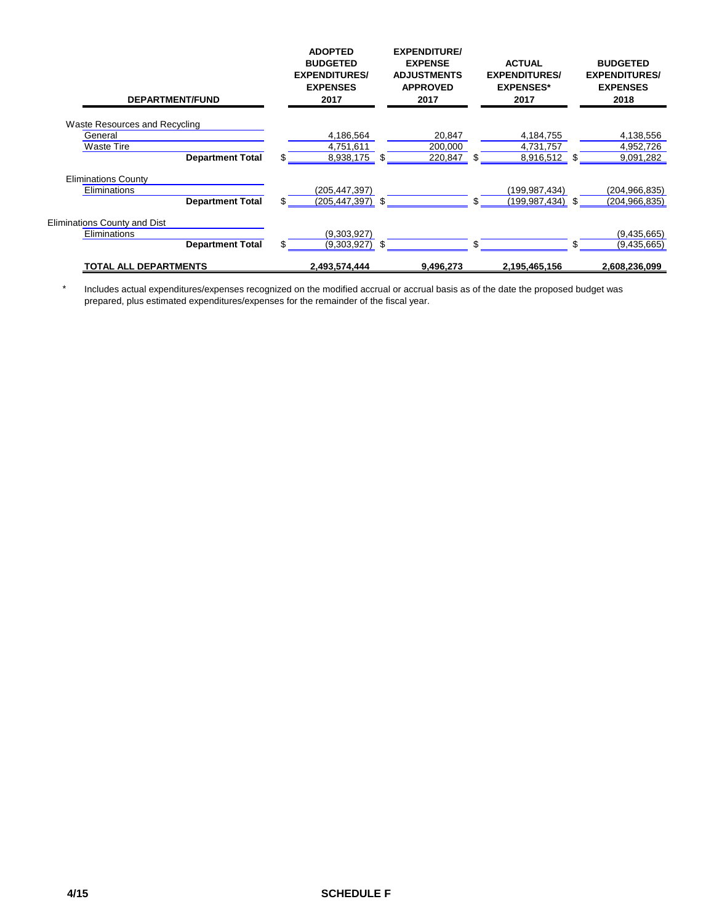| <b>DEPARTMENT/FUND</b>        |    | <b>ADOPTED</b><br><b>BUDGETED</b><br><b>EXPENDITURES/</b><br><b>EXPENSES</b><br>2017 | <b>EXPENDITURE/</b><br><b>EXPENSE</b><br><b>ADJUSTMENTS</b><br><b>APPROVED</b><br>2017 |           |     | <b>ACTUAL</b><br><b>EXPENDITURES/</b><br><b>EXPENSES*</b><br>2017 |     | <b>BUDGETED</b><br><b>EXPENDITURES/</b><br><b>EXPENSES</b><br>2018 |  |
|-------------------------------|----|--------------------------------------------------------------------------------------|----------------------------------------------------------------------------------------|-----------|-----|-------------------------------------------------------------------|-----|--------------------------------------------------------------------|--|
| Waste Resources and Recycling |    |                                                                                      |                                                                                        |           |     |                                                                   |     |                                                                    |  |
| General                       |    | 4,186,564                                                                            |                                                                                        | 20,847    |     | 4,184,755                                                         |     | 4,138,556                                                          |  |
| Waste Tire                    |    | 4,751,611                                                                            |                                                                                        | 200,000   |     | 4,731,757                                                         |     | 4,952,726                                                          |  |
| <b>Department Total</b>       | \$ | 8,938,175                                                                            | \$                                                                                     | 220,847   | \$  | 8,916,512                                                         | \$. | 9,091,282                                                          |  |
| <b>Eliminations County</b>    |    |                                                                                      |                                                                                        |           |     |                                                                   |     |                                                                    |  |
| Eliminations                  |    | (205,447,397)                                                                        |                                                                                        |           |     | (199,987,434)                                                     |     | (204, 966, 835)                                                    |  |
| <b>Department Total</b>       | \$ | (205,447,397)                                                                        | \$.                                                                                    |           | \$. | (199,987,434)                                                     | \$. | (204, 966, 835)                                                    |  |
| Eliminations County and Dist  |    |                                                                                      |                                                                                        |           |     |                                                                   |     |                                                                    |  |
| Eliminations                  |    | (9,303,927)                                                                          |                                                                                        |           |     |                                                                   |     | (9,435,665)                                                        |  |
| <b>Department Total</b>       | \$ | $(9,303,927)$ \$                                                                     |                                                                                        |           | \$. |                                                                   | \$. | (9,435,665)                                                        |  |
| <b>TOTAL ALL DEPARTMENTS</b>  |    | 2.493.574.444                                                                        |                                                                                        | 9.496.273 |     | 2,195,465,156                                                     |     | 2.608.236.099                                                      |  |

\* Includes actual expenditures/expenses recognized on the modified accrual or accrual basis as of the date the proposed budget was prepared, plus estimated expenditures/expenses for the remainder of the fiscal year.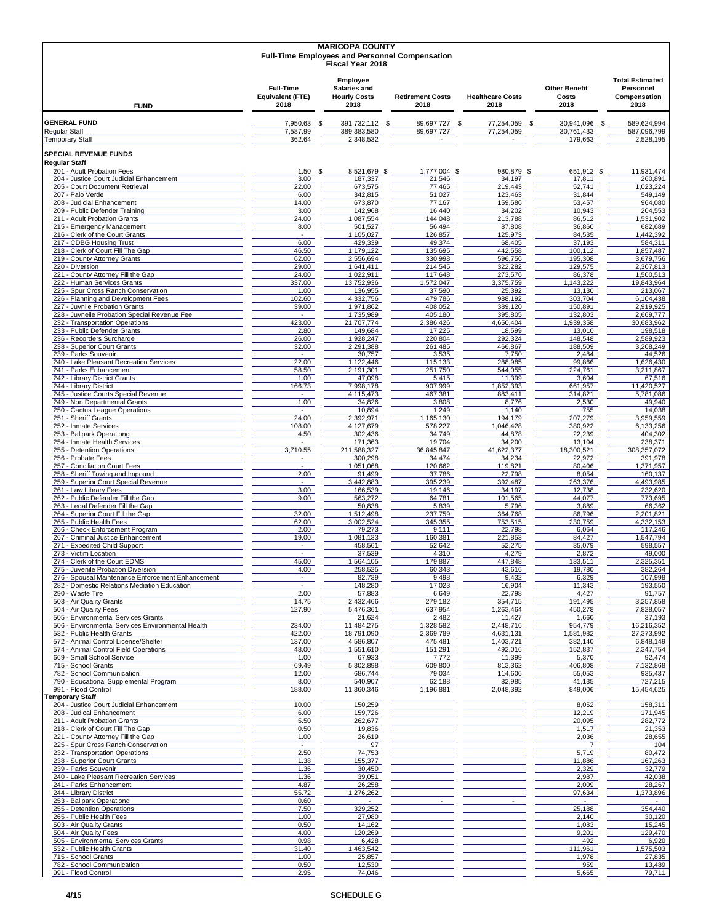|                                                                                 |                                              | <b>MARICOPA COUNTY</b><br><b>Full-Time Employees and Personnel Compensation</b><br><b>Fiscal Year 2018</b> |                                                                |  |                                        |  |                                 |      |                                       |                                                             |
|---------------------------------------------------------------------------------|----------------------------------------------|------------------------------------------------------------------------------------------------------------|----------------------------------------------------------------|--|----------------------------------------|--|---------------------------------|------|---------------------------------------|-------------------------------------------------------------|
| <b>FUND</b>                                                                     | <b>Full-Time</b><br>Equivalent (FTE)<br>2018 |                                                                                                            | Employee<br><b>Salaries and</b><br><b>Hourly Costs</b><br>2018 |  | <b>Retirement Costs</b><br>2018        |  | <b>Healthcare Costs</b><br>2018 |      | <b>Other Benefit</b><br>Costs<br>2018 | <b>Total Estimated</b><br>Personnel<br>Compensation<br>2018 |
| <b>GENERAL FUND</b>                                                             | 7,950.63                                     | - \$                                                                                                       | 391,732,112 \$                                                 |  | 89,697,727<br>- \$                     |  | 77,254,059                      | - \$ | 30,941,096<br>- \$                    | 589,624,994                                                 |
| <b>Regular Staff</b><br><b>Temporary Staff</b>                                  | 7,587.99<br>362.64                           |                                                                                                            | 389,383,580<br>2,348,532                                       |  | 89,697,727<br>$\overline{\phantom{a}}$ |  | 77,254,059<br>$\sim$            |      | 30,761,433<br>179,663                 | 587,096,799<br>2,528,195                                    |
| <b>SPECIAL REVENUE FUNDS</b>                                                    |                                              |                                                                                                            |                                                                |  |                                        |  |                                 |      |                                       |                                                             |
| <b>Regular Staff</b><br>201 - Adult Probation Fees                              | $1.50$ \$                                    |                                                                                                            | 8,521,679 \$                                                   |  | 1,777,004 \$                           |  | 980,879 \$                      |      | 651,912 \$                            | 11.931.474                                                  |
| 204 - Justice Court Judicial Enhancement<br>205 - Court Document Retrieval      | 3.00<br>22.00                                |                                                                                                            | 187,337<br>673.575                                             |  | 21,546<br>77,465                       |  | 34,197<br>219,443               |      | 17,811<br>52,741                      | 260,891<br>1,023,224                                        |
| 207 - Palo Verde                                                                | 6.00                                         |                                                                                                            | 342,815                                                        |  | 51,027                                 |  | 123,463                         |      | 31,844                                | 549,149                                                     |
| 208 - Judicial Enhancement<br>209 - Public Defender Training                    | 14.00<br>3.00                                |                                                                                                            | 673,870<br>142,968                                             |  | 77,167<br>16,440                       |  | 159,586<br>34,202               |      | 53,457<br>10,943                      | 964,080<br>204,553                                          |
| 211 - Adult Probation Grants<br>215 - Emergency Management                      | 24.00<br>8.00                                |                                                                                                            | 1,087,554<br>501,527                                           |  | 144,048<br>56,494                      |  | 213,788<br>87,808               |      | 86,512<br>36,860                      | 1,531,902<br>682,689                                        |
| 216 - Clerk of the Court Grants                                                 | $\sim$                                       |                                                                                                            | 1,105,027                                                      |  | 126,857                                |  | 125,973                         |      | 84,535                                | 1,442,392                                                   |
| 217 - CDBG Housing Trust<br>218 - Clerk of Court Fill The Gap                   | 6.00<br>46.50                                |                                                                                                            | 429,339<br>1,179,122                                           |  | 49,374<br>135,695                      |  | 68,405<br>442,558               |      | 37,193<br>100,112                     | 584,311<br>1,857,487                                        |
| 219 - County Attorney Grants                                                    | 62.00                                        |                                                                                                            | 2,556,694                                                      |  | 330,998                                |  | 596,756                         |      | 195,308                               | 3,679,756                                                   |
| 220 - Diversion<br>221 - County Attorney Fill the Gap                           | 29.00<br>24.00                               |                                                                                                            | 1,641,411<br>1,022,911                                         |  | 214,545<br>117,648                     |  | 322,282<br>273,576              |      | 129,575<br>86,378                     | 2,307,813<br>1,500,513                                      |
| 222 - Human Services Grants<br>225 - Spur Cross Ranch Conservation              | 337.00<br>1.00                               |                                                                                                            | 13,752,936<br>136,955                                          |  | 1,572,047<br>37,590                    |  | 3,375,759<br>25,392             |      | 1,143,222<br>13,130                   | 19,843,964<br>213,067                                       |
| 226 - Planning and Development Fees                                             | 102.60                                       |                                                                                                            | 4,332,756                                                      |  | 479,786                                |  | 988,192                         |      | 303,704                               | 6,104,438                                                   |
| 227 - Juvnile Probation Grants<br>228 - Juvneile Probation Special Revenue Fee  | 39.00<br>$\sim$                              |                                                                                                            | 1,971,862<br>1,735,989                                         |  | 408,052<br>405,180                     |  | 389,120<br>395,805              |      | 150,891<br>132,803                    | 2,919,925<br>2,669,777                                      |
| 232 - Transportation Operations                                                 | 423.00                                       |                                                                                                            | 21.707.774                                                     |  | 2,386,426                              |  | 4,650,404                       |      | 1,939,358                             | 30,683,962                                                  |
| 233 - Public Defender Grants<br>236 - Recorders Surcharge                       | 2.80<br>26.00                                |                                                                                                            | 149,684<br>1,928,247                                           |  | 17,225<br>220,804                      |  | 18,599<br>292,324               |      | 13,010<br>148,548                     | 198,518<br>2,589,923                                        |
| 238 - Superior Court Grants<br>239 - Parks Souvenir                             | 32.00<br>$\sim$                              |                                                                                                            | 2,291,388<br>30,757                                            |  | 261,485<br>3,535                       |  | 466,867<br>7,750                |      | 188,509<br>2,484                      | 3,208,249<br>44,526                                         |
| 240 - Lake Pleasant Recreation Services                                         | 22.00                                        |                                                                                                            | 1,122,446                                                      |  | 115,133                                |  | 288,985                         |      | 99,866                                | 1,626,430                                                   |
| 241 - Parks Enhancement<br>242 - Library District Grants                        | 58.50<br>1.00                                |                                                                                                            | 2,191,301<br>47,098                                            |  | 251,750<br>5,415                       |  | 544,055<br>11,399               |      | 224.761<br>3,604                      | 3,211,867<br>67,516                                         |
| 244 - Library District                                                          | 166.73                                       |                                                                                                            | 7,998,178                                                      |  | 907,999                                |  | 1,852,393                       |      | 661,957                               | 11,420,527                                                  |
| 245 - Justice Courts Special Revenue<br>249 - Non Departmental Grants           | $\sim$<br>1.00                               |                                                                                                            | 4,115,473<br>34,826                                            |  | 467,381<br>3,808                       |  | 883,411<br>8,776                |      | 314,821<br>2,530                      | 5,781,086<br>49,940                                         |
| 250 - Cactus League Operations<br>251 - Sheriff Grants                          | $\omega$<br>24.00                            |                                                                                                            | 10,894<br>2,392,971                                            |  | 1,249<br>1,165,130                     |  | 1,140<br>194,179                |      | 755<br>207,279                        | 14,038<br>3,959,559                                         |
| 252 - Inmate Services                                                           | 108.00                                       |                                                                                                            | 4,127,679                                                      |  | 578,227                                |  | 1,046,428                       |      | 380,922                               | 6,133,256                                                   |
| 253 - Ballpark Operationg<br>254 - Inmate Health Services                       | 4.50<br>$\omega$                             |                                                                                                            | 302,436<br>171,363                                             |  | 34,749<br>19,704                       |  | 44,878<br>34,200                |      | 22,239<br>13,104                      | 404,302<br>238,371                                          |
| 255 - Detention Operations                                                      | 3,710.55                                     |                                                                                                            | 211,588,327                                                    |  | 36,845,847                             |  | 41,622,377                      |      | 18,300,521                            | 308, 357, 072                                               |
| 256 - Probate Fees<br>257 - Conciliation Court Fees                             | $\sim$<br>$\omega$                           |                                                                                                            | 300,298<br>1,051,068                                           |  | 34,474<br>120,662                      |  | 34,234<br>119,821               |      | 22,972<br>80,406                      | 391,978<br>1,371,957                                        |
| 258 - Sheriff Towing and Impound<br>259 - Superior Court Special Revenue        | 2.00<br>$\sim$                               |                                                                                                            | 91,499<br>3,442,883                                            |  | 37,786<br>395,239                      |  | 22,798<br>392,487               |      | 8,054<br>263,376                      | 160,137<br>4,493,985                                        |
| 261 - Law Library Fees                                                          | 3.00                                         |                                                                                                            | 166,539                                                        |  | 19,146                                 |  | 34,197                          |      | 12,738                                | 232,620                                                     |
| 262 - Public Defender Fill the Gap<br>263 - Legal Defender Fill the Gap         | 9.00                                         |                                                                                                            | 563,272<br>50,838                                              |  | 64,781<br>5,839                        |  | 101,565<br>5,796                |      | 44,077<br>3,889                       | 773,695<br>66,362                                           |
| 264 - Superior Court Fill the Gap                                               | 32.00                                        |                                                                                                            | 1,512,498                                                      |  | 237,759                                |  | 364,768                         |      | 86,796                                | 2,201,821                                                   |
| 265 - Public Health Fees<br>266 - Check Enforcement Program                     | 62.00<br>2.00                                |                                                                                                            | 3,002,524<br>79,273                                            |  | 345,355<br>9,111                       |  | 753,515<br>22,798               |      | 230,759<br>6,064                      | 4.332.153<br>117,246                                        |
| 267 - Criminal Justice Enhancement<br>271 - Expedited Child Support             | 19.00<br>$\blacksquare$                      |                                                                                                            | 1,081,133<br>458,561                                           |  | 160,381<br>52,642                      |  | 221,853<br>52,275               |      | 84,427<br>35,079                      | 1,547,794<br>598,557                                        |
| 273 - Victim Location                                                           | $\sim$                                       |                                                                                                            | 37,539                                                         |  | 4,310                                  |  | 4,279                           |      | 2,872                                 | 49,000                                                      |
| 274 - Clerk of the Court EDMS<br>275 - Juvenile Probation Diversion             | 45.00<br>4.00                                |                                                                                                            | 1,564,105<br>258,525                                           |  | 179,887<br>60.343                      |  | 447,848<br>43,616               |      | 133,511<br>19,780                     | 2,325,351<br>382,264                                        |
| 276 - Spousal Maintenance Enforcement Enhancement                               | $\sim$                                       |                                                                                                            | 82,739                                                         |  | 9,498                                  |  | 9,432                           |      | 6,329                                 | 107,998                                                     |
| 282 - Domestic Relations Mediation Education<br>290 - Waste Tire                | $\omega$<br>2.00                             |                                                                                                            | 148,280<br>57,883                                              |  | 17,023<br>6,649                        |  | 16,904<br>22,798                |      | 11,343<br>4,427                       | 193,550<br>91,757                                           |
| 503 - Air Quality Grants<br>504 - Air Quality Fees                              | 14.75<br>127.90                              |                                                                                                            | 2,432,466<br>5,476,361                                         |  | 279,182<br>637,954                     |  | 354,715<br>1,263,464            |      | 191,495<br>450,278                    | 3,257,858<br>7,828,057                                      |
| 505 - Environmental Services Grants                                             |                                              |                                                                                                            | 21,624                                                         |  | 2,482                                  |  | 11,427                          |      | 1,660                                 | 37,193                                                      |
| 506 - Environmental Services Environmental Health<br>532 - Public Health Grants | 234.00<br>422.00                             |                                                                                                            | 11,484,275<br>18,791,090                                       |  | 1,328,582<br>2,369,789                 |  | 2,448,716<br>4,631,131          |      | 954,779<br>1,581,982                  | 16,216,352<br>27.373.992                                    |
| 572 - Animal Control License/Shelter                                            | 137.00                                       |                                                                                                            | 4,586,807<br>1,551,610                                         |  | 475,481                                |  | 1,403,721                       |      | 382,140                               | 6,848,149                                                   |
| 574 - Animal Control Field Operations<br>669 - Small School Service             | 48.00<br>1.00                                |                                                                                                            | 67,933                                                         |  | 151,291<br>7,772                       |  | 492,016<br>11,399               |      | 152,837<br>5,370                      | 2,347,754<br>92,474                                         |
| 715 - School Grants<br>782 - School Communication                               | 69.49<br>12.00                               |                                                                                                            | 5,302,898<br>686,744                                           |  | 609,800<br>79,034                      |  | 813,362<br>114,606              |      | 406,808<br>55,053                     | 7,132,868<br>935,437                                        |
| 790 - Educational Supplemental Program                                          | 8.00                                         |                                                                                                            | 540,907                                                        |  | 62,188                                 |  | 82,985                          |      | 41,135                                | 727,215                                                     |
| 991 - Flood Control<br><b>Temporary Staff</b>                                   | 188.00                                       |                                                                                                            | 11,360,346                                                     |  | 1,196,881                              |  | 2,048,392                       |      | 849,006                               | 15,454,625                                                  |
| 204 - Justice Court Judicial Enhancement<br>208 - Judical Enhancement           | 10.00<br>6.00                                |                                                                                                            | 150,259<br>159,726                                             |  |                                        |  |                                 |      | 8,052<br>12,219                       | 158,311<br>171,945                                          |
| 211 - Adult Probation Grants                                                    | 5.50                                         |                                                                                                            | 262,677                                                        |  |                                        |  |                                 |      | 20,095                                | 282,772                                                     |
| 218 - Clerk of Court Fill The Gap<br>221 - County Attorney Fill the Gap         | 0.50<br>1.00                                 |                                                                                                            | 19,836<br>26,619                                               |  |                                        |  |                                 |      | 1,517<br>2,036                        | 21,353<br>28,655                                            |
| 225 - Spur Cross Ranch Conservation                                             | $\sim$                                       |                                                                                                            | 97                                                             |  |                                        |  |                                 |      | $\overline{7}$                        | 104                                                         |
| 232 - Transportation Operations<br>238 - Superior Court Grants                  | 2.50<br>1.38                                 |                                                                                                            | 74,753<br>155,377                                              |  |                                        |  |                                 |      | 5,719<br>11,886                       | 80,472<br>167,263                                           |
| 239 - Parks Souvenir<br>240 - Lake Pleasant Recreation Services                 | 1.36                                         |                                                                                                            | 30,450                                                         |  |                                        |  |                                 |      | 2,329                                 | 32,779<br>42,038                                            |
| 241 - Parks Enhancement                                                         | 1.36<br>4.87                                 |                                                                                                            | 39,051<br>26,258                                               |  |                                        |  |                                 |      | 2,987<br>2,009                        | 28,267                                                      |
| 244 - Library District<br>253 - Ballpark Operationg                             | 55.72<br>0.60                                |                                                                                                            | 1,276,262<br>$\sim$                                            |  |                                        |  |                                 |      | 97,634<br>$\sim$                      | 1,373,896<br>$\sim$                                         |
| 255 - Detention Operations                                                      | 7.50                                         |                                                                                                            | 329,252                                                        |  |                                        |  |                                 |      | 25,188                                | 354,440                                                     |
| 265 - Public Health Fees<br>503 - Air Quality Grants                            | 1.00<br>0.50                                 |                                                                                                            | 27,980<br>14,162                                               |  |                                        |  |                                 |      | 2,140<br>1,083                        | 30,120<br>15,245                                            |
| 504 - Air Quality Fees<br>505 - Environmental Services Grants                   | 4.00<br>0.98                                 |                                                                                                            | 120,269<br>6,428                                               |  |                                        |  |                                 |      | 9,201<br>492                          | 129,470<br>6,920                                            |
| 532 - Public Health Grants                                                      | 31.40                                        |                                                                                                            | 1,463,542                                                      |  |                                        |  |                                 |      | 111,961                               | 1,575,503                                                   |
| 715 - School Grants<br>782 - School Communication                               | 1.00<br>0.50                                 |                                                                                                            | 25,857<br>12,530                                               |  |                                        |  |                                 |      | 1,978<br>959                          | 27,835<br>13,489                                            |
| 991 - Flood Control                                                             | 2.95                                         |                                                                                                            | 74,046                                                         |  |                                        |  |                                 |      | 5,665                                 | 79,711                                                      |